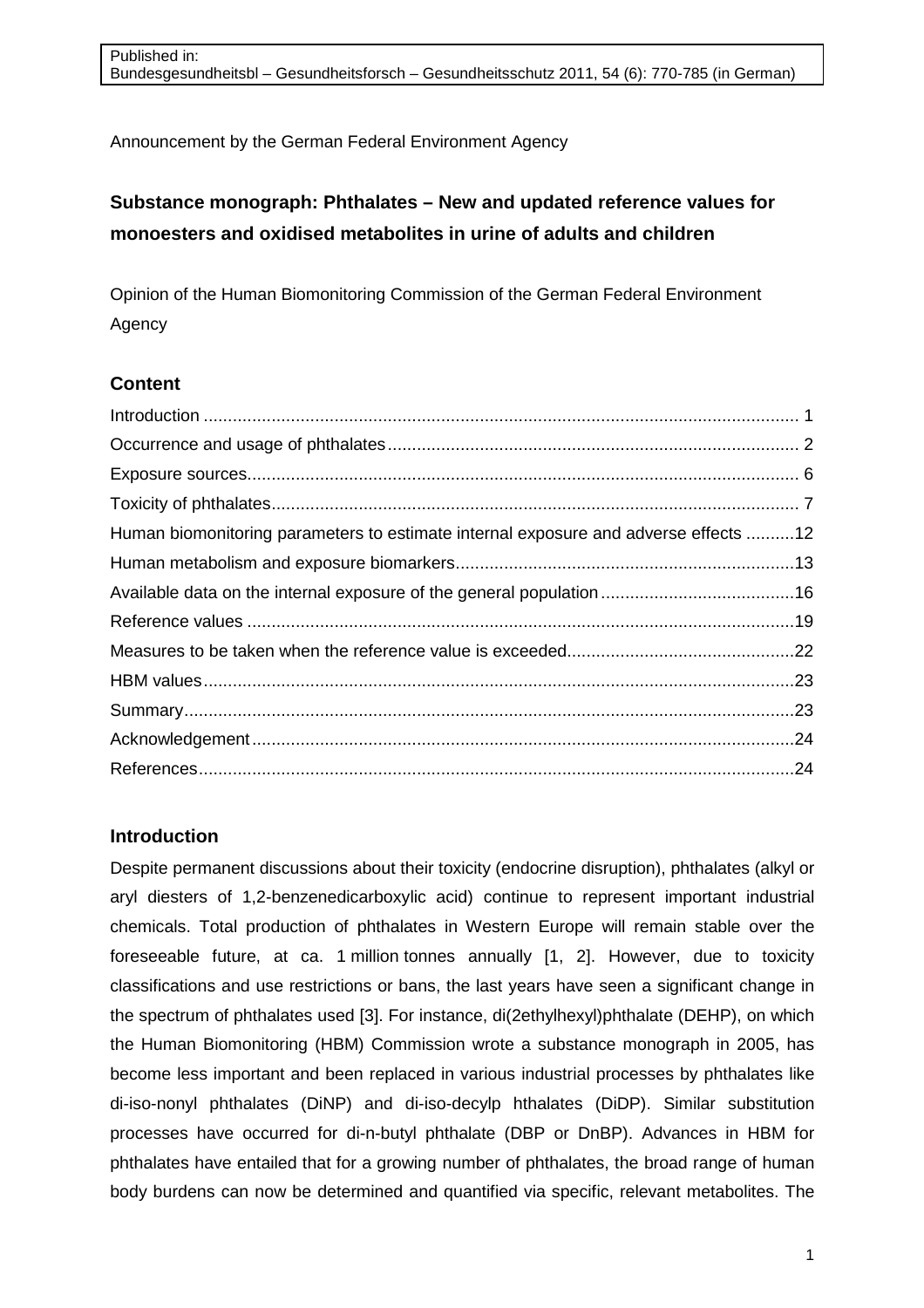Announcement by the German Federal Environment Agency

# **Substance monograph: Phthalates – New and updated reference values for monoesters and oxidised metabolites in urine of adults and children**

Opinion of the Human Biomonitoring Commission of the German Federal Environment Agency

## **Content**

| Human biomonitoring parameters to estimate internal exposure and adverse effects 12 |
|-------------------------------------------------------------------------------------|
|                                                                                     |
|                                                                                     |
|                                                                                     |
|                                                                                     |
|                                                                                     |
|                                                                                     |
|                                                                                     |
|                                                                                     |
|                                                                                     |

## **Introduction**

Despite permanent discussions about their toxicity (endocrine disruption), phthalates (alkyl or aryl diesters of 1,2-benzenedicarboxylic acid) continue to represent important industrial chemicals. Total production of phthalates in Western Europe will remain stable over the foreseeable future, at ca. 1 million tonnes annually [1, 2]. However, due to toxicity classifications and use restrictions or bans, the last years have seen a significant change in the spectrum of phthalates used [3]. For instance, di(2ethylhexyl)phthalate (DEHP), on which the Human Biomonitoring (HBM) Commission wrote a substance monograph in 2005, has become less important and been replaced in various industrial processes by phthalates like di-iso-nonyl phthalates (DiNP) and di-iso-decylp hthalates (DiDP). Similar substitution processes have occurred for di-n-butyl phthalate (DBP or DnBP). Advances in HBM for phthalates have entailed that for a growing number of phthalates, the broad range of human body burdens can now be determined and quantified via specific, relevant metabolites. The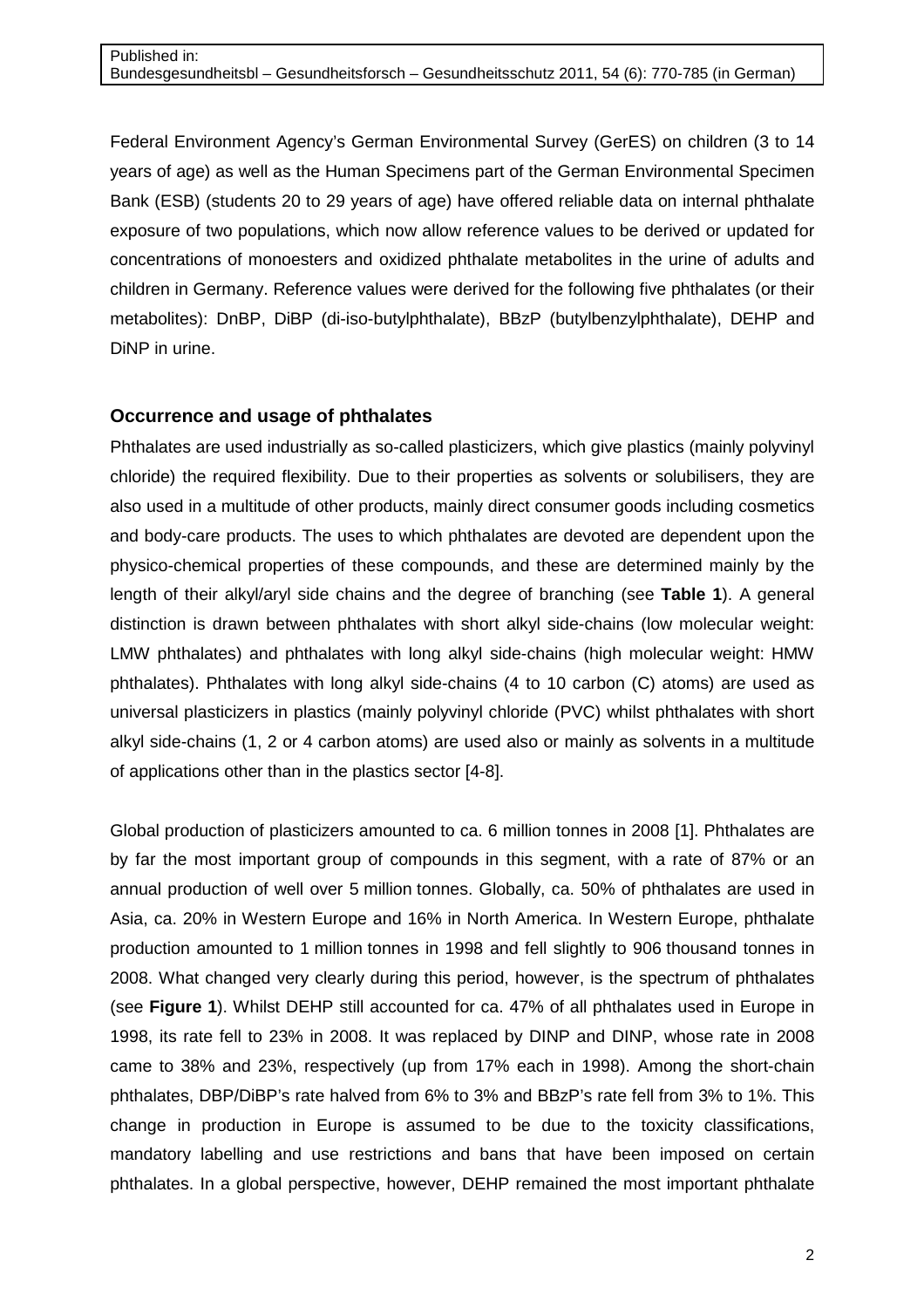Federal Environment Agency's German Environmental Survey (GerES) on children (3 to 14 years of age) as well as the Human Specimens part of the German Environmental Specimen Bank (ESB) (students 20 to 29 years of age) have offered reliable data on internal phthalate exposure of two populations, which now allow reference values to be derived or updated for concentrations of monoesters and oxidized phthalate metabolites in the urine of adults and children in Germany. Reference values were derived for the following five phthalates (or their metabolites): DnBP, DiBP (di-iso-butylphthalate), BBzP (butylbenzylphthalate), DEHP and DiNP in urine.

## **Occurrence and usage of phthalates**

Phthalates are used industrially as so-called plasticizers, which give plastics (mainly polyvinyl chloride) the required flexibility. Due to their properties as solvents or solubilisers, they are also used in a multitude of other products, mainly direct consumer goods including cosmetics and body-care products. The uses to which phthalates are devoted are dependent upon the physico-chemical properties of these compounds, and these are determined mainly by the length of their alkyl/aryl side chains and the degree of branching (see **Table 1**). A general distinction is drawn between phthalates with short alkyl side-chains (low molecular weight: LMW phthalates) and phthalates with long alkyl side-chains (high molecular weight: HMW phthalates). Phthalates with long alkyl side-chains (4 to 10 carbon (C) atoms) are used as universal plasticizers in plastics (mainly polyvinyl chloride (PVC) whilst phthalates with short alkyl side-chains (1, 2 or 4 carbon atoms) are used also or mainly as solvents in a multitude of applications other than in the plastics sector [4-8].

Global production of plasticizers amounted to ca. 6 million tonnes in 2008 [1]. Phthalates are by far the most important group of compounds in this segment, with a rate of 87% or an annual production of well over 5 million tonnes. Globally, ca. 50% of phthalates are used in Asia, ca. 20% in Western Europe and 16% in North America. In Western Europe, phthalate production amounted to 1 million tonnes in 1998 and fell slightly to 906 thousand tonnes in 2008. What changed very clearly during this period, however, is the spectrum of phthalates (see **Figure 1**). Whilst DEHP still accounted for ca. 47% of all phthalates used in Europe in 1998, its rate fell to 23% in 2008. It was replaced by DINP and DINP, whose rate in 2008 came to 38% and 23%, respectively (up from 17% each in 1998). Among the short-chain phthalates, DBP/DiBP's rate halved from 6% to 3% and BBzP's rate fell from 3% to 1%. This change in production in Europe is assumed to be due to the toxicity classifications, mandatory labelling and use restrictions and bans that have been imposed on certain phthalates. In a global perspective, however, DEHP remained the most important phthalate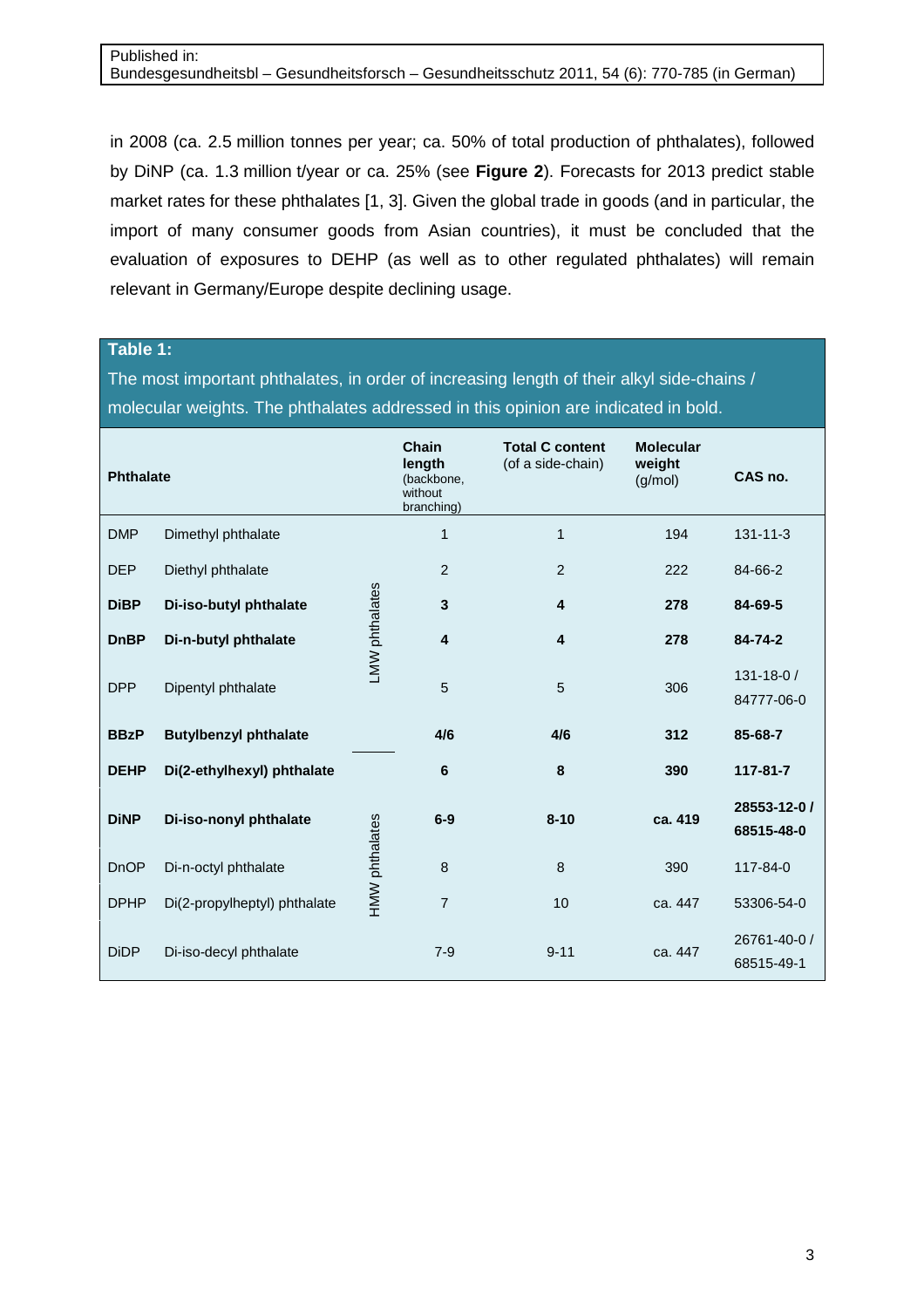in 2008 (ca. 2.5 million tonnes per year; ca. 50% of total production of phthalates), followed by DiNP (ca. 1.3 million t/year or ca. 25% (see **Figure 2**). Forecasts for 2013 predict stable market rates for these phthalates [1, 3]. Given the global trade in goods (and in particular, the import of many consumer goods from Asian countries), it must be concluded that the evaluation of exposures to DEHP (as well as to other regulated phthalates) will remain relevant in Germany/Europe despite declining usage.

**Table 1:**

The most important phthalates, in order of increasing length of their alkyl side-chains / molecular weights. The phthalates addressed in this opinion are indicated in bold.

| <b>Phthalate</b> |                              |                | Chain<br>length<br>(backbone,<br>without<br>branching) | <b>Total C content</b><br>(of a side-chain) | <b>Molecular</b><br>weight<br>(g/mol) | CAS no.                       |
|------------------|------------------------------|----------------|--------------------------------------------------------|---------------------------------------------|---------------------------------------|-------------------------------|
| <b>DMP</b>       | Dimethyl phthalate           |                | $\mathbf 1$                                            | 1                                           | 194                                   | $131 - 11 - 3$                |
| <b>DEP</b>       | Diethyl phthalate            |                | 2                                                      | 2                                           | 222                                   | 84-66-2                       |
| <b>DiBP</b>      | Di-iso-butyl phthalate       |                | 3                                                      | 4                                           | 278                                   | 84-69-5                       |
| <b>DnBP</b>      | Di-n-butyl phthalate         | LMW phthalates | 4                                                      | 4                                           | 278                                   | 84-74-2                       |
| <b>DPP</b>       | Dipentyl phthalate           |                | 5                                                      | 5                                           | 306                                   | $131 - 18 - 0/$<br>84777-06-0 |
| <b>BBzP</b>      | <b>Butylbenzyl phthalate</b> |                | 4/6                                                    | 4/6                                         | 312                                   | 85-68-7                       |
| <b>DEHP</b>      | Di(2-ethylhexyl) phthalate   |                | 6                                                      | 8                                           | 390                                   | $117 - 81 - 7$                |
| <b>DiNP</b>      | Di-iso-nonyl phthalate       |                | $6-9$                                                  | $8 - 10$                                    | ca. 419                               | 28553-12-0 /<br>68515-48-0    |
| <b>DnOP</b>      | Di-n-octyl phthalate         | HMW phthalates | 8                                                      | 8                                           | 390                                   | 117-84-0                      |
| <b>DPHP</b>      | Di(2-propylheptyl) phthalate |                | $\overline{7}$                                         | 10                                          | ca. 447                               | 53306-54-0                    |
| <b>DiDP</b>      | Di-iso-decyl phthalate       |                | $7 - 9$                                                | $9 - 11$                                    | ca. 447                               | 26761-40-0 /<br>68515-49-1    |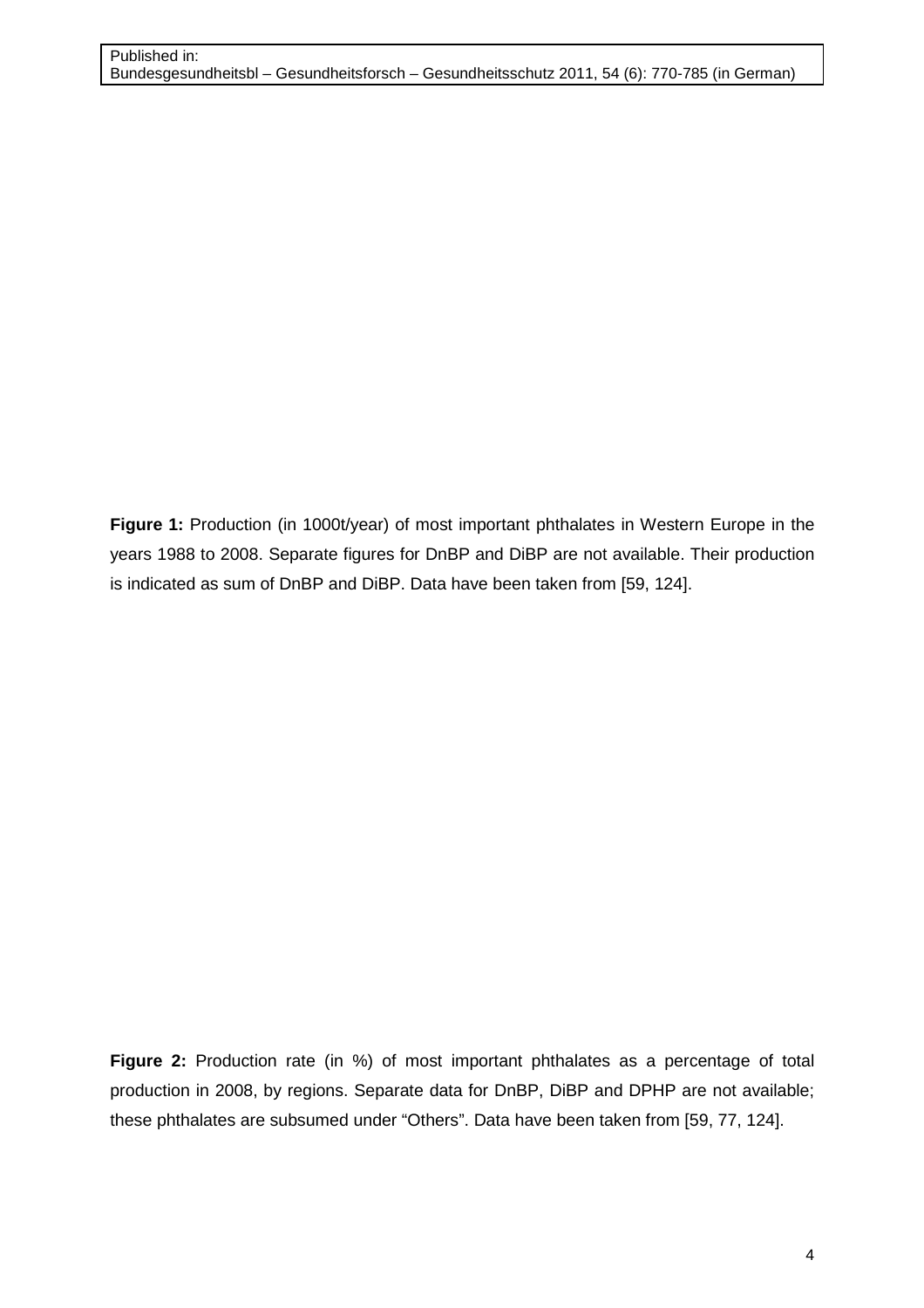**Figure 1:** Production (in 1000t/year) of most important phthalates in Western Europe in the years 1988 to 2008. Separate figures for DnBP and DiBP are not available. Their production is indicated as sum of DnBP and DiBP. Data have been taken from [59, 124].

**Figure 2:** Production rate (in %) of most important phthalates as a percentage of total production in 2008, by regions. Separate data for DnBP, DiBP and DPHP are not available; these phthalates are subsumed under "Others". Data have been taken from [59, 77, 124].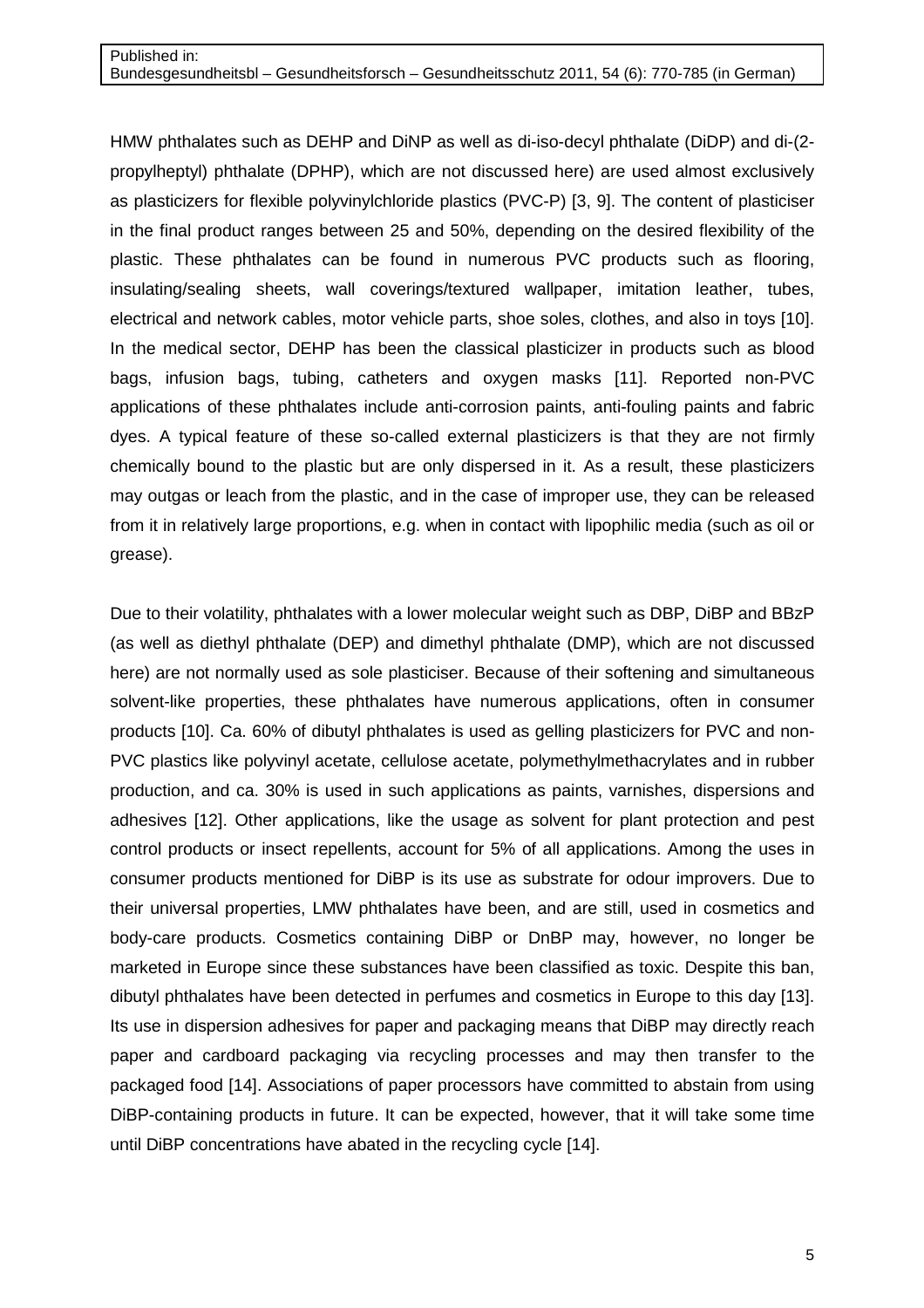HMW phthalates such as DEHP and DiNP as well as di-iso-decyl phthalate (DiDP) and di-(2 propylheptyl) phthalate (DPHP), which are not discussed here) are used almost exclusively as plasticizers for flexible polyvinylchloride plastics (PVC-P) [3, 9]. The content of plasticiser in the final product ranges between 25 and 50%, depending on the desired flexibility of the plastic. These phthalates can be found in numerous PVC products such as flooring, insulating/sealing sheets, wall coverings/textured wallpaper, imitation leather, tubes, electrical and network cables, motor vehicle parts, shoe soles, clothes, and also in toys [10]. In the medical sector, DEHP has been the classical plasticizer in products such as blood bags, infusion bags, tubing, catheters and oxygen masks [11]. Reported non-PVC applications of these phthalates include anti-corrosion paints, anti-fouling paints and fabric dyes. A typical feature of these so-called external plasticizers is that they are not firmly chemically bound to the plastic but are only dispersed in it. As a result, these plasticizers may outgas or leach from the plastic, and in the case of improper use, they can be released from it in relatively large proportions, e.g. when in contact with lipophilic media (such as oil or grease).

Due to their volatility, phthalates with a lower molecular weight such as DBP, DiBP and BBzP (as well as diethyl phthalate (DEP) and dimethyl phthalate (DMP), which are not discussed here) are not normally used as sole plasticiser. Because of their softening and simultaneous solvent-like properties, these phthalates have numerous applications, often in consumer products [10]. Ca. 60% of dibutyl phthalates is used as gelling plasticizers for PVC and non-PVC plastics like polyvinyl acetate, cellulose acetate, polymethylmethacrylates and in rubber production, and ca. 30% is used in such applications as paints, varnishes, dispersions and adhesives [12]. Other applications, like the usage as solvent for plant protection and pest control products or insect repellents, account for 5% of all applications. Among the uses in consumer products mentioned for DiBP is its use as substrate for odour improvers. Due to their universal properties, LMW phthalates have been, and are still, used in cosmetics and body-care products. Cosmetics containing DiBP or DnBP may, however, no longer be marketed in Europe since these substances have been classified as toxic. Despite this ban, dibutyl phthalates have been detected in perfumes and cosmetics in Europe to this day [13]. Its use in dispersion adhesives for paper and packaging means that DiBP may directly reach paper and cardboard packaging via recycling processes and may then transfer to the packaged food [14]. Associations of paper processors have committed to abstain from using DiBP-containing products in future. It can be expected, however, that it will take some time until DiBP concentrations have abated in the recycling cycle [14].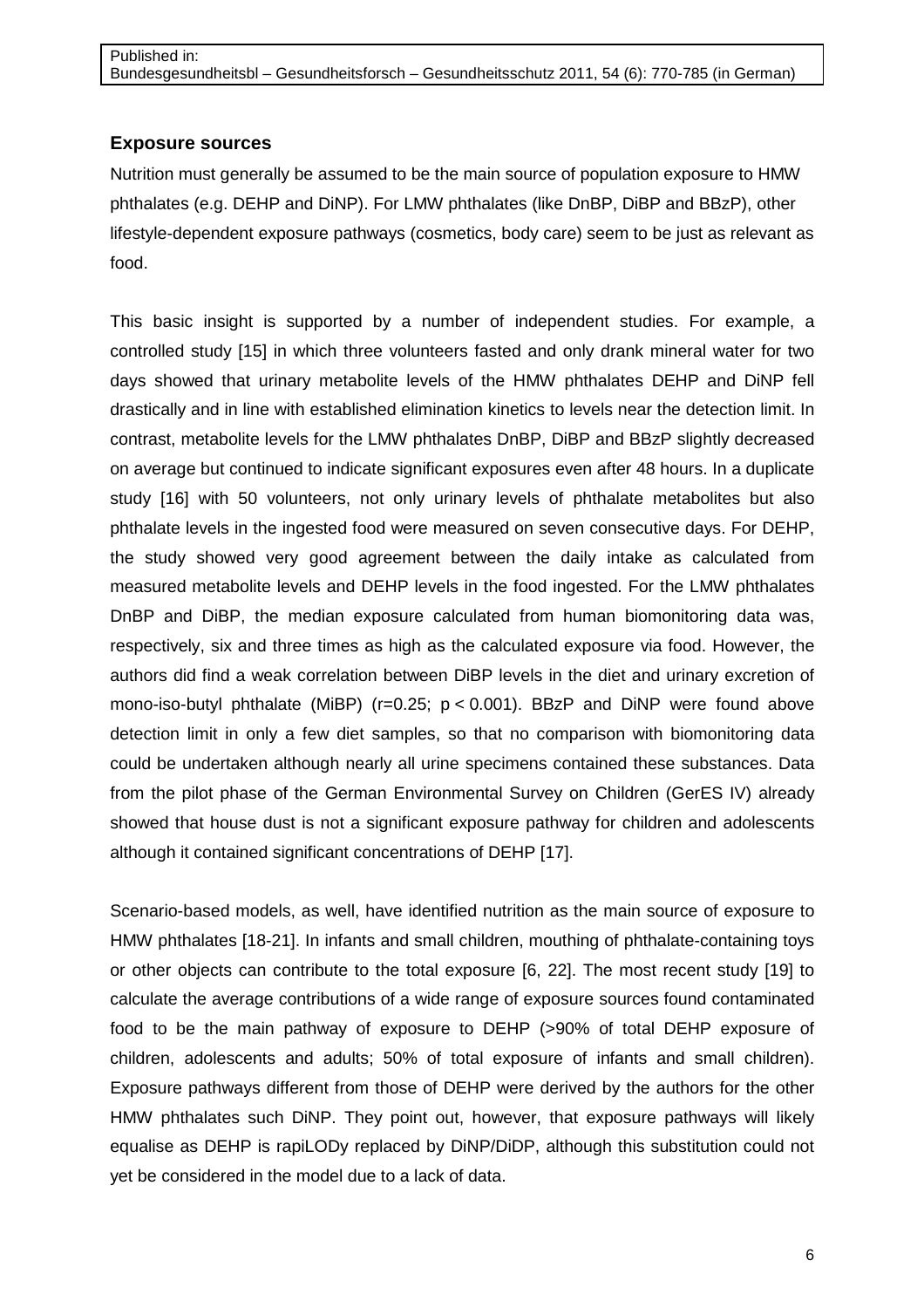## **Exposure sources**

Nutrition must generally be assumed to be the main source of population exposure to HMW phthalates (e.g. DEHP and DiNP). For LMW phthalates (like DnBP, DiBP and BBzP), other lifestyle-dependent exposure pathways (cosmetics, body care) seem to be just as relevant as food.

This basic insight is supported by a number of independent studies. For example, a controlled study [15] in which three volunteers fasted and only drank mineral water for two days showed that urinary metabolite levels of the HMW phthalates DEHP and DiNP fell drastically and in line with established elimination kinetics to levels near the detection limit. In contrast, metabolite levels for the LMW phthalates DnBP, DiBP and BBzP slightly decreased on average but continued to indicate significant exposures even after 48 hours. In a duplicate study [16] with 50 volunteers, not only urinary levels of phthalate metabolites but also phthalate levels in the ingested food were measured on seven consecutive days. For DEHP, the study showed very good agreement between the daily intake as calculated from measured metabolite levels and DEHP levels in the food ingested. For the LMW phthalates DnBP and DiBP, the median exposure calculated from human biomonitoring data was, respectively, six and three times as high as the calculated exposure via food. However, the authors did find a weak correlation between DiBP levels in the diet and urinary excretion of mono-iso-butyl phthalate (MiBP) ( $r=0.25$ ;  $p < 0.001$ ). BBzP and DiNP were found above detection limit in only a few diet samples, so that no comparison with biomonitoring data could be undertaken although nearly all urine specimens contained these substances. Data from the pilot phase of the German Environmental Survey on Children (GerES IV) already showed that house dust is not a significant exposure pathway for children and adolescents although it contained significant concentrations of DEHP [17].

Scenario-based models, as well, have identified nutrition as the main source of exposure to HMW phthalates [18-21]. In infants and small children, mouthing of phthalate-containing toys or other objects can contribute to the total exposure [6, 22]. The most recent study [19] to calculate the average contributions of a wide range of exposure sources found contaminated food to be the main pathway of exposure to DEHP (>90% of total DEHP exposure of children, adolescents and adults; 50% of total exposure of infants and small children). Exposure pathways different from those of DEHP were derived by the authors for the other HMW phthalates such DiNP. They point out, however, that exposure pathways will likely equalise as DEHP is rapiLODy replaced by DiNP/DiDP, although this substitution could not yet be considered in the model due to a lack of data.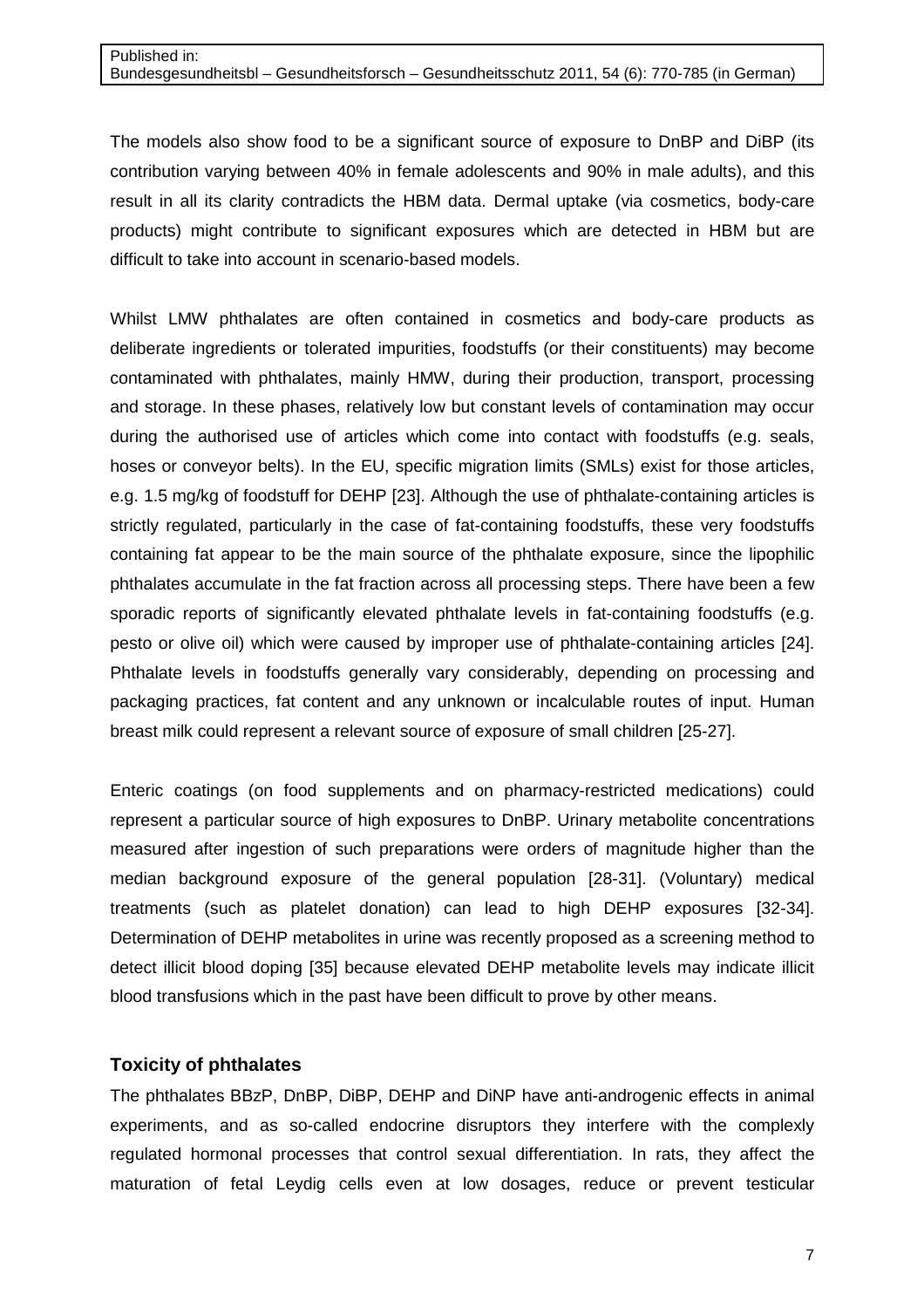The models also show food to be a significant source of exposure to DnBP and DiBP (its contribution varying between 40% in female adolescents and 90% in male adults), and this result in all its clarity contradicts the HBM data. Dermal uptake (via cosmetics, body-care products) might contribute to significant exposures which are detected in HBM but are difficult to take into account in scenario-based models.

Whilst LMW phthalates are often contained in cosmetics and body-care products as deliberate ingredients or tolerated impurities, foodstuffs (or their constituents) may become contaminated with phthalates, mainly HMW, during their production, transport, processing and storage. In these phases, relatively low but constant levels of contamination may occur during the authorised use of articles which come into contact with foodstuffs (e.g. seals, hoses or conveyor belts). In the EU, specific migration limits (SMLs) exist for those articles, e.g. 1.5 mg/kg of foodstuff for DEHP [23]. Although the use of phthalate-containing articles is strictly regulated, particularly in the case of fat-containing foodstuffs, these very foodstuffs containing fat appear to be the main source of the phthalate exposure, since the lipophilic phthalates accumulate in the fat fraction across all processing steps. There have been a few sporadic reports of significantly elevated phthalate levels in fat-containing foodstuffs (e.g. pesto or olive oil) which were caused by improper use of phthalate-containing articles [24]. Phthalate levels in foodstuffs generally vary considerably, depending on processing and packaging practices, fat content and any unknown or incalculable routes of input. Human breast milk could represent a relevant source of exposure of small children [25-27].

Enteric coatings (on food supplements and on pharmacy-restricted medications) could represent a particular source of high exposures to DnBP. Urinary metabolite concentrations measured after ingestion of such preparations were orders of magnitude higher than the median background exposure of the general population [28-31]. (Voluntary) medical treatments (such as platelet donation) can lead to high DEHP exposures [32-34]. Determination of DEHP metabolites in urine was recently proposed as a screening method to detect illicit blood doping [35] because elevated DEHP metabolite levels may indicate illicit blood transfusions which in the past have been difficult to prove by other means.

## **Toxicity of phthalates**

The phthalates BBzP, DnBP, DiBP, DEHP and DiNP have anti-androgenic effects in animal experiments, and as so-called endocrine disruptors they interfere with the complexly regulated hormonal processes that control sexual differentiation. In rats, they affect the maturation of fetal Leydig cells even at low dosages, reduce or prevent testicular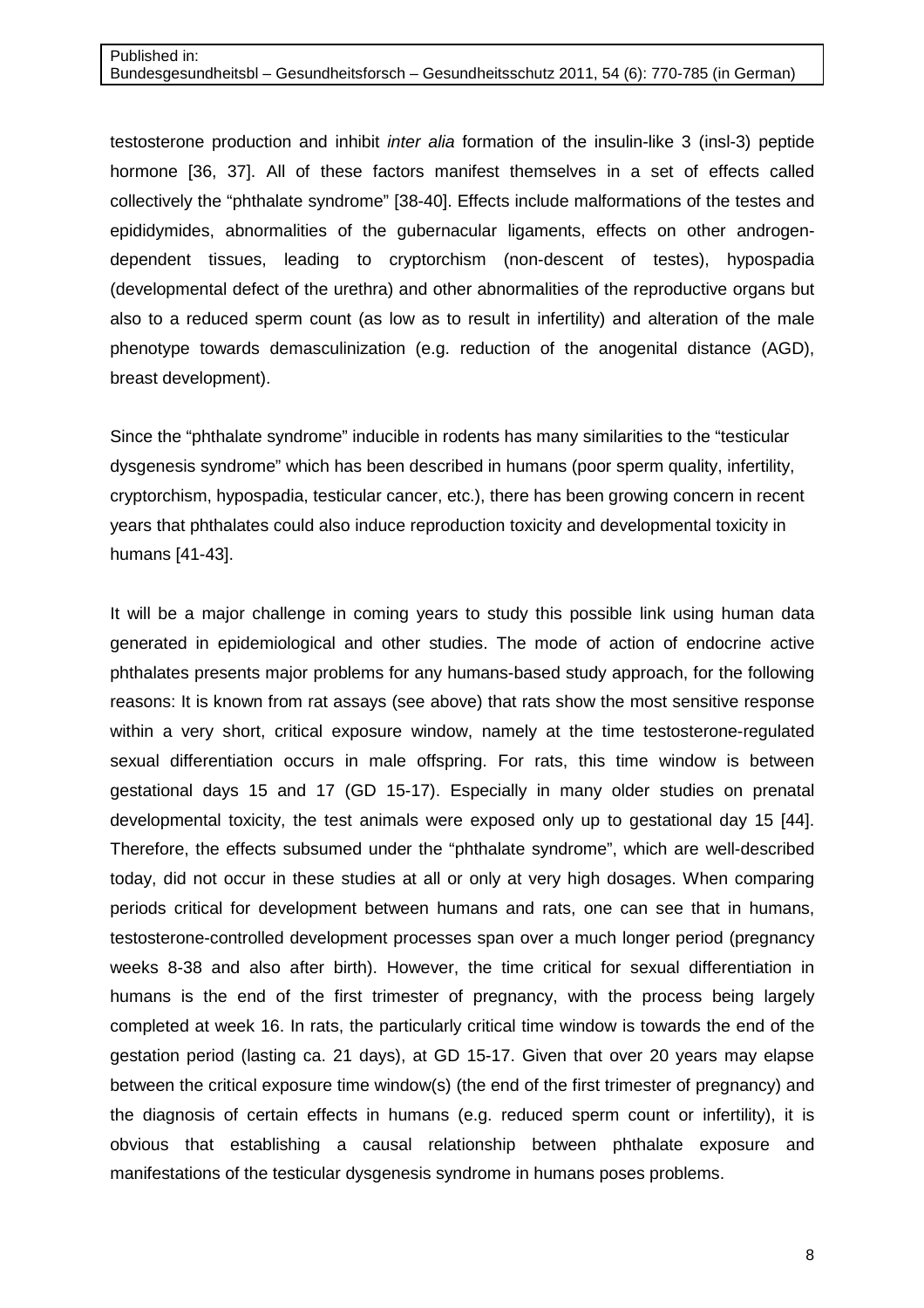testosterone production and inhibit inter alia formation of the insulin-like 3 (insl-3) peptide hormone [36, 37]. All of these factors manifest themselves in a set of effects called collectively the "phthalate syndrome" [38-40]. Effects include malformations of the testes and epididymides, abnormalities of the gubernacular ligaments, effects on other androgendependent tissues, leading to cryptorchism (non-descent of testes), hypospadia (developmental defect of the urethra) and other abnormalities of the reproductive organs but also to a reduced sperm count (as low as to result in infertility) and alteration of the male phenotype towards demasculinization (e.g. reduction of the anogenital distance (AGD), breast development).

Since the "phthalate syndrome" inducible in rodents has many similarities to the "testicular dysgenesis syndrome" which has been described in humans (poor sperm quality, infertility, cryptorchism, hypospadia, testicular cancer, etc.), there has been growing concern in recent years that phthalates could also induce reproduction toxicity and developmental toxicity in humans [41-43].

It will be a major challenge in coming years to study this possible link using human data generated in epidemiological and other studies. The mode of action of endocrine active phthalates presents major problems for any humans-based study approach, for the following reasons: It is known from rat assays (see above) that rats show the most sensitive response within a very short, critical exposure window, namely at the time testosterone-regulated sexual differentiation occurs in male offspring. For rats, this time window is between gestational days 15 and 17 (GD 15-17). Especially in many older studies on prenatal developmental toxicity, the test animals were exposed only up to gestational day 15 [44]. Therefore, the effects subsumed under the "phthalate syndrome", which are well-described today, did not occur in these studies at all or only at very high dosages. When comparing periods critical for development between humans and rats, one can see that in humans, testosterone-controlled development processes span over a much longer period (pregnancy weeks 8-38 and also after birth). However, the time critical for sexual differentiation in humans is the end of the first trimester of pregnancy, with the process being largely completed at week 16. In rats, the particularly critical time window is towards the end of the gestation period (lasting ca. 21 days), at GD 15-17. Given that over 20 years may elapse between the critical exposure time window(s) (the end of the first trimester of pregnancy) and the diagnosis of certain effects in humans (e.g. reduced sperm count or infertility), it is obvious that establishing a causal relationship between phthalate exposure and manifestations of the testicular dysgenesis syndrome in humans poses problems.

8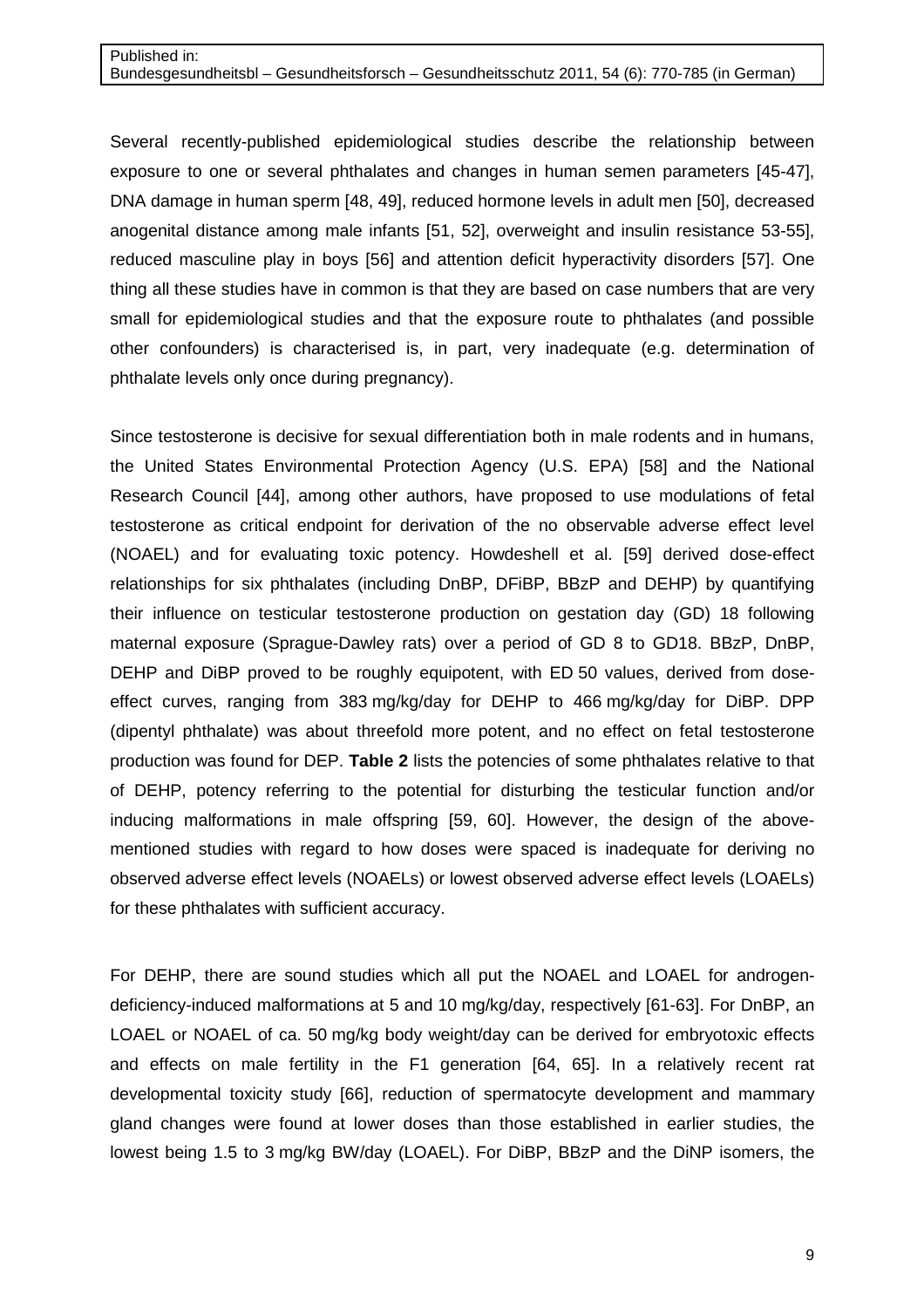Several recently-published epidemiological studies describe the relationship between exposure to one or several phthalates and changes in human semen parameters [45-47], DNA damage in human sperm [48, 49], reduced hormone levels in adult men [50], decreased anogenital distance among male infants [51, 52], overweight and insulin resistance 53-55], reduced masculine play in boys [56] and attention deficit hyperactivity disorders [57]. One thing all these studies have in common is that they are based on case numbers that are very small for epidemiological studies and that the exposure route to phthalates (and possible other confounders) is characterised is, in part, very inadequate (e.g. determination of phthalate levels only once during pregnancy).

Since testosterone is decisive for sexual differentiation both in male rodents and in humans, the United States Environmental Protection Agency (U.S. EPA) [58] and the National Research Council [44], among other authors, have proposed to use modulations of fetal testosterone as critical endpoint for derivation of the no observable adverse effect level (NOAEL) and for evaluating toxic potency. Howdeshell et al. [59] derived dose-effect relationships for six phthalates (including DnBP, DFiBP, BBzP and DEHP) by quantifying their influence on testicular testosterone production on gestation day (GD) 18 following maternal exposure (Sprague-Dawley rats) over a period of GD 8 to GD18. BBzP, DnBP, DEHP and DiBP proved to be roughly equipotent, with ED 50 values, derived from doseeffect curves, ranging from 383 mg/kg/day for DEHP to 466 mg/kg/day for DiBP. DPP (dipentyl phthalate) was about threefold more potent, and no effect on fetal testosterone production was found for DEP. **Table 2** lists the potencies of some phthalates relative to that of DEHP, potency referring to the potential for disturbing the testicular function and/or inducing malformations in male offspring [59, 60]. However, the design of the abovementioned studies with regard to how doses were spaced is inadequate for deriving no observed adverse effect levels (NOAELs) or lowest observed adverse effect levels (LOAELs) for these phthalates with sufficient accuracy.

For DEHP, there are sound studies which all put the NOAEL and LOAEL for androgendeficiency-induced malformations at 5 and 10 mg/kg/day, respectively [61-63]. For DnBP, an LOAEL or NOAEL of ca. 50 mg/kg body weight/day can be derived for embryotoxic effects and effects on male fertility in the F1 generation [64, 65]. In a relatively recent rat developmental toxicity study [66], reduction of spermatocyte development and mammary gland changes were found at lower doses than those established in earlier studies, the lowest being 1.5 to 3 mg/kg BW/day (LOAEL). For DiBP, BBzP and the DiNP isomers, the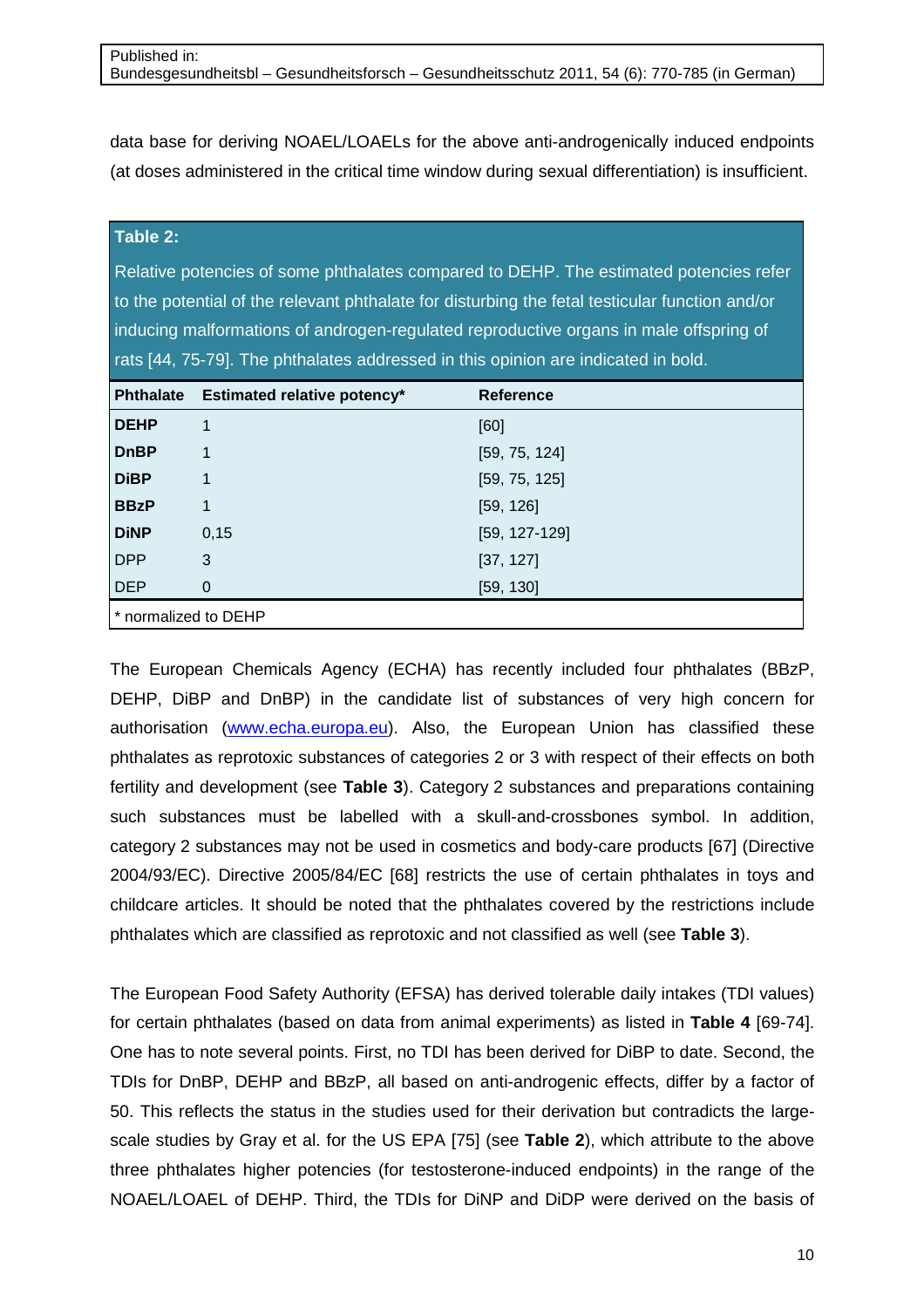data base for deriving NOAEL/LOAELs for the above anti-androgenically induced endpoints (at doses administered in the critical time window during sexual differentiation) is insufficient.

# **Table 2:**

Relative potencies of some phthalates compared to DEHP. The estimated potencies refer to the potential of the relevant phthalate for disturbing the fetal testicular function and/or inducing malformations of androgen-regulated reproductive organs in male offspring of rats [44, 75-79]. The phthalates addressed in this opinion are indicated in bold.

| <b>Phthalate</b>     | <b>Estimated relative potency*</b> | <b>Reference</b>  |  |  |  |  |  |
|----------------------|------------------------------------|-------------------|--|--|--|--|--|
| <b>DEHP</b>          | 1                                  | [60]              |  |  |  |  |  |
| <b>DnBP</b>          | $\mathbf 1$                        | [59, 75, 124]     |  |  |  |  |  |
| <b>DiBP</b>          | 1                                  | [59, 75, 125]     |  |  |  |  |  |
| <b>BBzP</b>          | 1                                  | [59, 126]         |  |  |  |  |  |
| <b>DiNP</b>          | 0,15                               | $[59, 127 - 129]$ |  |  |  |  |  |
| <b>DPP</b>           | 3                                  | [37, 127]         |  |  |  |  |  |
| <b>DEP</b>           | $\mathbf 0$                        | [59, 130]         |  |  |  |  |  |
| * normalized to DEHP |                                    |                   |  |  |  |  |  |

The European Chemicals Agency (ECHA) has recently included four phthalates (BBzP, DEHP, DiBP and DnBP) in the candidate list of substances of very high concern for authorisation (www.echa.europa.eu). Also, the European Union has classified these phthalates as reprotoxic substances of categories 2 or 3 with respect of their effects on both fertility and development (see **Table 3**). Category 2 substances and preparations containing such substances must be labelled with a skull-and-crossbones symbol. In addition, category 2 substances may not be used in cosmetics and body-care products [67] (Directive 2004/93/EC). Directive 2005/84/EC [68] restricts the use of certain phthalates in toys and childcare articles. It should be noted that the phthalates covered by the restrictions include phthalates which are classified as reprotoxic and not classified as well (see **Table 3**).

The European Food Safety Authority (EFSA) has derived tolerable daily intakes (TDI values) for certain phthalates (based on data from animal experiments) as listed in **Table 4** [69-74]. One has to note several points. First, no TDI has been derived for DiBP to date. Second, the TDIs for DnBP, DEHP and BBzP, all based on anti-androgenic effects, differ by a factor of 50. This reflects the status in the studies used for their derivation but contradicts the largescale studies by Gray et al. for the US EPA [75] (see **Table 2**), which attribute to the above three phthalates higher potencies (for testosterone-induced endpoints) in the range of the NOAEL/LOAEL of DEHP. Third, the TDIs for DiNP and DiDP were derived on the basis of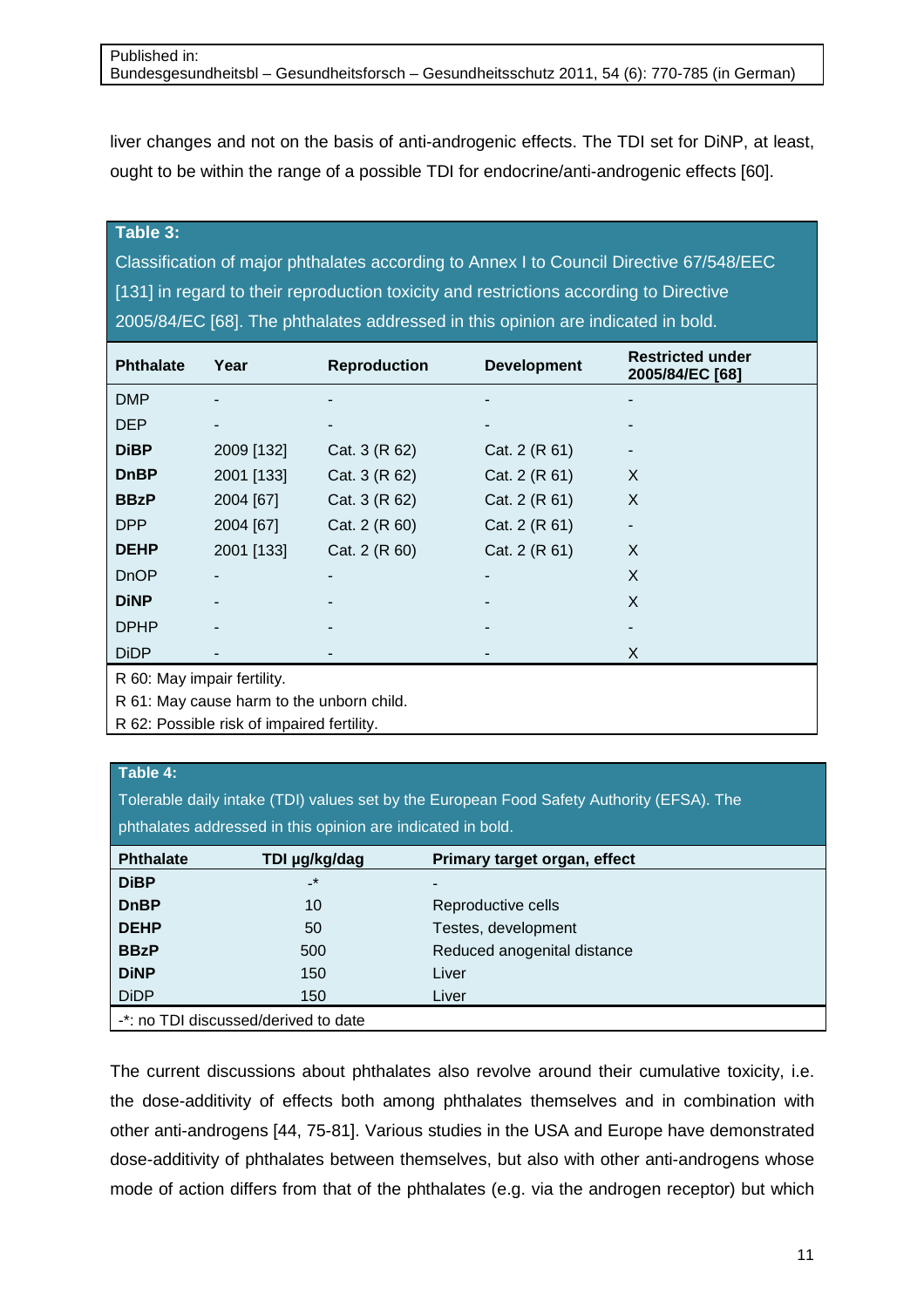liver changes and not on the basis of anti-androgenic effects. The TDI set for DiNP, at least, ought to be within the range of a possible TDI for endocrine/anti-androgenic effects [60].

#### **Table 3:**

Classification of major phthalates according to Annex I to Council Directive 67/548/EEC [131] in regard to their reproduction toxicity and restrictions according to Directive 2005/84/EC [68]. The phthalates addressed in this opinion are indicated in bold.

| <b>Phthalate</b>            | Year           | <b>Reproduction</b> | <b>Development</b> | <b>Restricted under</b><br>2005/84/EC [68] |
|-----------------------------|----------------|---------------------|--------------------|--------------------------------------------|
| <b>DMP</b>                  | $\blacksquare$ | ۰                   |                    | -                                          |
| <b>DEP</b>                  | -              | ۰                   |                    |                                            |
| <b>DiBP</b>                 | 2009 [132]     | Cat. 3 (R 62)       | Cat. 2 (R 61)      |                                            |
| <b>DnBP</b>                 | 2001 [133]     | Cat. 3 (R 62)       | Cat. 2 (R 61)      | X                                          |
| <b>BBzP</b>                 | 2004 [67]      | Cat. 3 (R 62)       | Cat. 2 (R 61)      | X                                          |
| <b>DPP</b>                  | 2004 [67]      | Cat. 2 (R 60)       | Cat. 2 (R 61)      | -                                          |
| <b>DEHP</b>                 | 2001 [133]     | Cat. 2 (R 60)       | Cat. 2 (R 61)      | X                                          |
| <b>DnOP</b>                 |                | ٠                   |                    | X                                          |
| <b>DiNP</b>                 | $\blacksquare$ | ۰                   |                    | X                                          |
| <b>DPHP</b>                 |                | ۰                   |                    |                                            |
| <b>DiDP</b>                 |                |                     |                    | X                                          |
| R 60: May impair fertility. |                |                     |                    |                                            |

R 61: May cause harm to the unborn child.

R 62: Possible risk of impaired fertility.

## **Table 4:**

Tolerable daily intake (TDI) values set by the European Food Safety Authority (EFSA). The

phthalates addressed in this opinion are indicated in bold.

| <b>Phthalate</b>                     | TDI µg/kg/dag | Primary target organ, effect |  |  |  |  |  |
|--------------------------------------|---------------|------------------------------|--|--|--|--|--|
| <b>DiBP</b>                          | $\cdot$       |                              |  |  |  |  |  |
| <b>DnBP</b>                          | 10            | Reproductive cells           |  |  |  |  |  |
| <b>DEHP</b>                          | 50            | Testes, development          |  |  |  |  |  |
| <b>BBzP</b>                          | 500           | Reduced anogenital distance  |  |  |  |  |  |
| <b>DiNP</b>                          | 150           | Liver                        |  |  |  |  |  |
| <b>DiDP</b>                          | 150           | Liver                        |  |  |  |  |  |
| -*: no TDI discussed/derived to date |               |                              |  |  |  |  |  |

The current discussions about phthalates also revolve around their cumulative toxicity, i.e. the dose-additivity of effects both among phthalates themselves and in combination with other anti-androgens [44, 75-81]. Various studies in the USA and Europe have demonstrated dose-additivity of phthalates between themselves, but also with other anti-androgens whose mode of action differs from that of the phthalates (e.g. via the androgen receptor) but which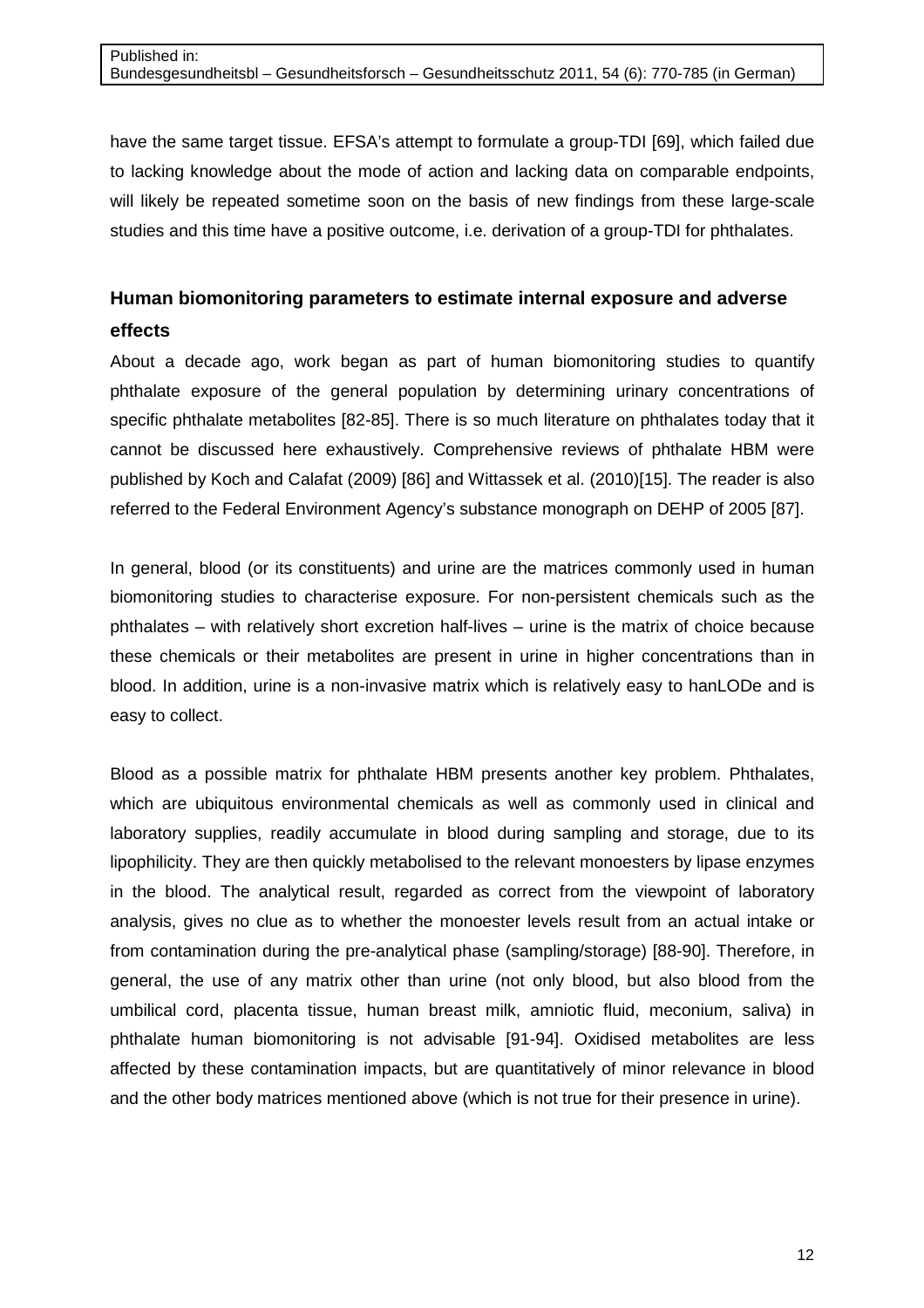have the same target tissue. EFSA's attempt to formulate a group-TDI [69], which failed due to lacking knowledge about the mode of action and lacking data on comparable endpoints, will likely be repeated sometime soon on the basis of new findings from these large-scale studies and this time have a positive outcome, i.e. derivation of a group-TDI for phthalates.

# **Human biomonitoring parameters to estimate internal exposure and adverse effects**

About a decade ago, work began as part of human biomonitoring studies to quantify phthalate exposure of the general population by determining urinary concentrations of specific phthalate metabolites [82-85]. There is so much literature on phthalates today that it cannot be discussed here exhaustively. Comprehensive reviews of phthalate HBM were published by Koch and Calafat (2009) [86] and Wittassek et al. (2010)[15]. The reader is also referred to the Federal Environment Agency's substance monograph on DEHP of 2005 [87].

In general, blood (or its constituents) and urine are the matrices commonly used in human biomonitoring studies to characterise exposure. For non-persistent chemicals such as the phthalates – with relatively short excretion half-lives – urine is the matrix of choice because these chemicals or their metabolites are present in urine in higher concentrations than in blood. In addition, urine is a non-invasive matrix which is relatively easy to hanLODe and is easy to collect.

Blood as a possible matrix for phthalate HBM presents another key problem. Phthalates, which are ubiquitous environmental chemicals as well as commonly used in clinical and laboratory supplies, readily accumulate in blood during sampling and storage, due to its lipophilicity. They are then quickly metabolised to the relevant monoesters by lipase enzymes in the blood. The analytical result, regarded as correct from the viewpoint of laboratory analysis, gives no clue as to whether the monoester levels result from an actual intake or from contamination during the pre-analytical phase (sampling/storage) [88-90]. Therefore, in general, the use of any matrix other than urine (not only blood, but also blood from the umbilical cord, placenta tissue, human breast milk, amniotic fluid, meconium, saliva) in phthalate human biomonitoring is not advisable [91-94]. Oxidised metabolites are less affected by these contamination impacts, but are quantitatively of minor relevance in blood and the other body matrices mentioned above (which is not true for their presence in urine).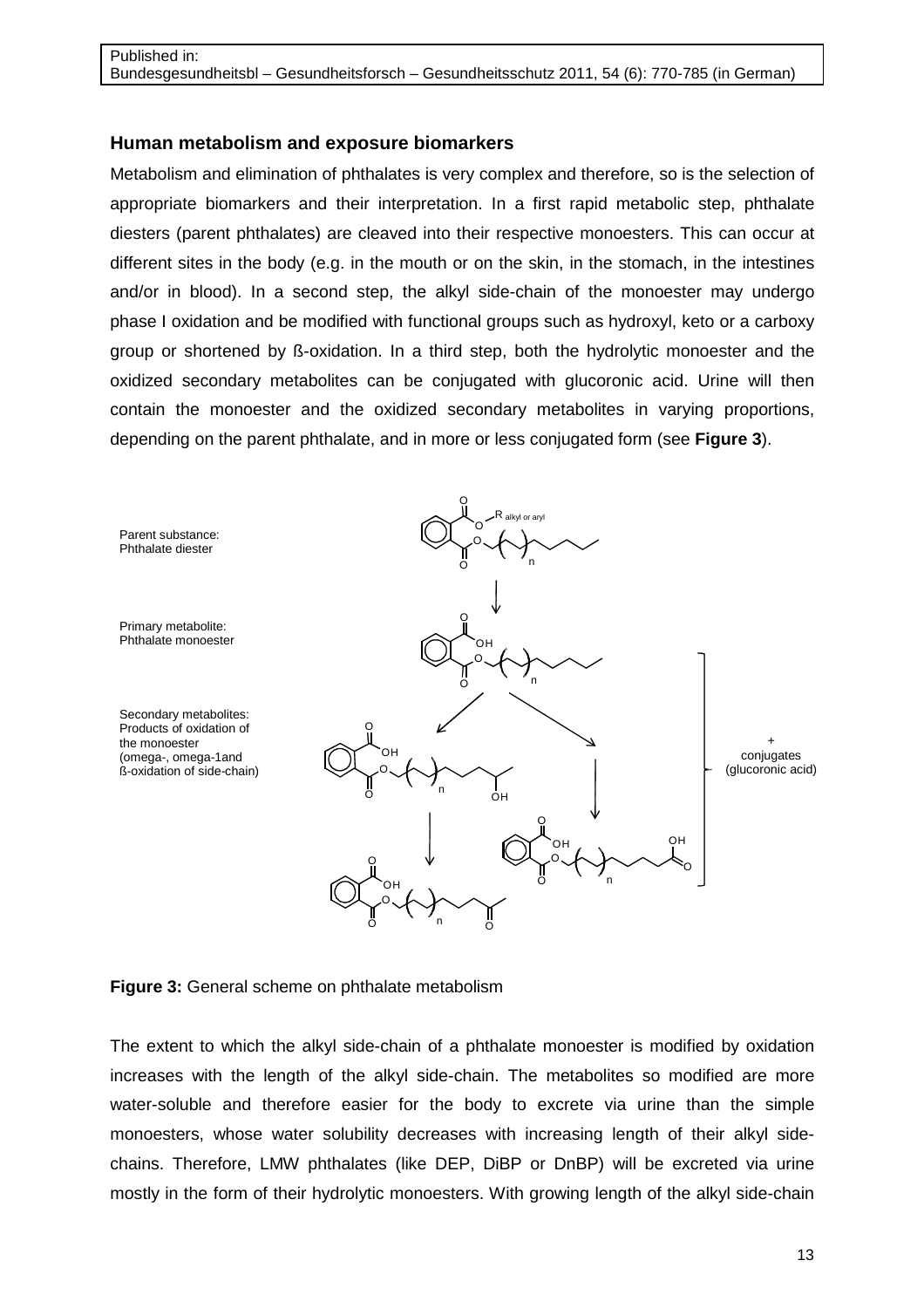#### **Human metabolism and exposure biomarkers**

Metabolism and elimination of phthalates is very complex and therefore, so is the selection of appropriate biomarkers and their interpretation. In a first rapid metabolic step, phthalate diesters (parent phthalates) are cleaved into their respective monoesters. This can occur at different sites in the body (e.g. in the mouth or on the skin, in the stomach, in the intestines and/or in blood). In a second step, the alkyl side-chain of the monoester may undergo phase I oxidation and be modified with functional groups such as hydroxyl, keto or a carboxy group or shortened by ß-oxidation. In a third step, both the hydrolytic monoester and the oxidized secondary metabolites can be conjugated with glucoronic acid. Urine will then contain the monoester and the oxidized secondary metabolites in varying proportions, depending on the parent phthalate, and in more or less conjugated form (see **Figure 3**).



**Figure 3:** General scheme on phthalate metabolism

The extent to which the alkyl side-chain of a phthalate monoester is modified by oxidation increases with the length of the alkyl side-chain. The metabolites so modified are more water-soluble and therefore easier for the body to excrete via urine than the simple monoesters, whose water solubility decreases with increasing length of their alkyl sidechains. Therefore, LMW phthalates (like DEP, DiBP or DnBP) will be excreted via urine mostly in the form of their hydrolytic monoesters. With growing length of the alkyl side-chain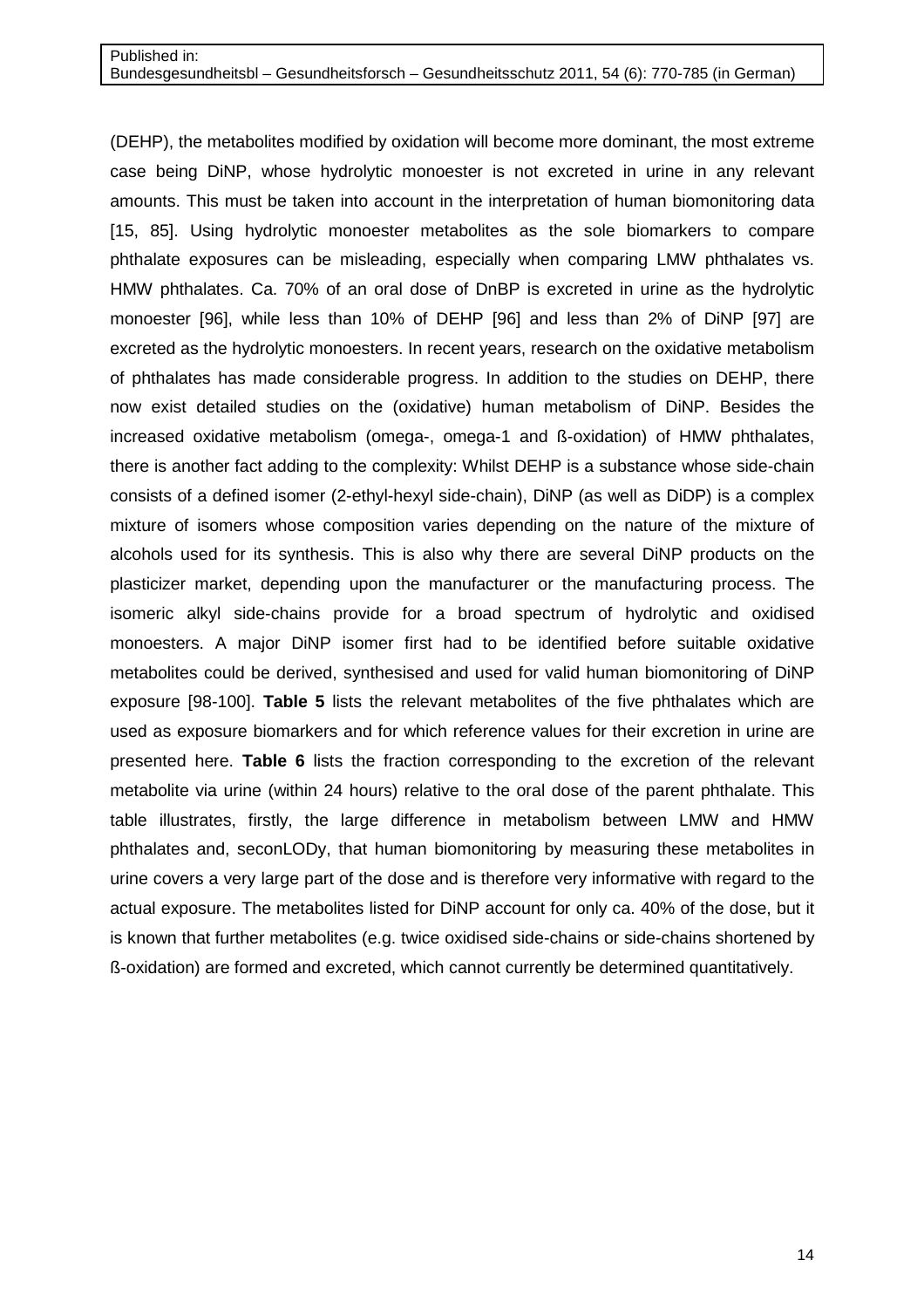(DEHP), the metabolites modified by oxidation will become more dominant, the most extreme case being DiNP, whose hydrolytic monoester is not excreted in urine in any relevant amounts. This must be taken into account in the interpretation of human biomonitoring data [15, 85]. Using hydrolytic monoester metabolites as the sole biomarkers to compare phthalate exposures can be misleading, especially when comparing LMW phthalates vs. HMW phthalates. Ca. 70% of an oral dose of DnBP is excreted in urine as the hydrolytic monoester [96], while less than 10% of DEHP [96] and less than 2% of DiNP [97] are excreted as the hydrolytic monoesters. In recent years, research on the oxidative metabolism of phthalates has made considerable progress. In addition to the studies on DEHP, there now exist detailed studies on the (oxidative) human metabolism of DiNP. Besides the increased oxidative metabolism (omega-, omega-1 and ß-oxidation) of HMW phthalates, there is another fact adding to the complexity: Whilst DEHP is a substance whose side-chain consists of a defined isomer (2-ethyl-hexyl side-chain), DiNP (as well as DiDP) is a complex mixture of isomers whose composition varies depending on the nature of the mixture of alcohols used for its synthesis. This is also why there are several DiNP products on the plasticizer market, depending upon the manufacturer or the manufacturing process. The isomeric alkyl side-chains provide for a broad spectrum of hydrolytic and oxidised monoesters. A major DiNP isomer first had to be identified before suitable oxidative metabolites could be derived, synthesised and used for valid human biomonitoring of DiNP exposure [98-100]. **Table 5** lists the relevant metabolites of the five phthalates which are used as exposure biomarkers and for which reference values for their excretion in urine are presented here. **Table 6** lists the fraction corresponding to the excretion of the relevant metabolite via urine (within 24 hours) relative to the oral dose of the parent phthalate. This table illustrates, firstly, the large difference in metabolism between LMW and HMW phthalates and, seconLODy, that human biomonitoring by measuring these metabolites in urine covers a very large part of the dose and is therefore very informative with regard to the actual exposure. The metabolites listed for DiNP account for only ca. 40% of the dose, but it is known that further metabolites (e.g. twice oxidised side-chains or side-chains shortened by ß-oxidation) are formed and excreted, which cannot currently be determined quantitatively.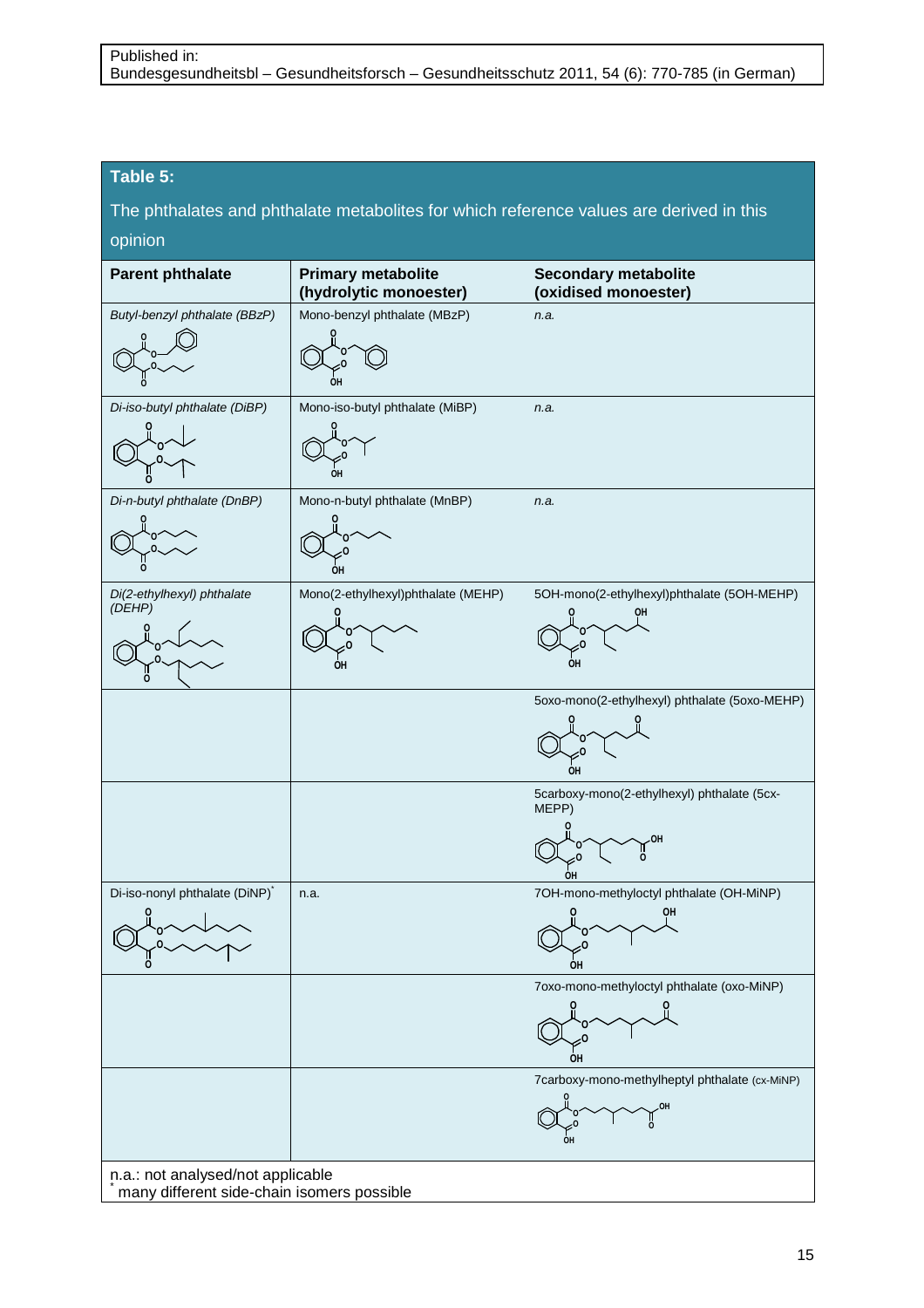#### **Table 5:**

The phthalates and phthalate metabolites for which reference values are derived in this opinion

| <b>Parent phthalate</b>                    | <b>Primary metabolite</b><br>(hydrolytic monoester) | <b>Secondary metabolite</b><br>(oxidised monoester) |
|--------------------------------------------|-----------------------------------------------------|-----------------------------------------------------|
| Butyl-benzyl phthalate (BBzP)              | Mono-benzyl phthalate (MBzP)                        | n.a.                                                |
|                                            |                                                     |                                                     |
|                                            |                                                     |                                                     |
|                                            | он                                                  |                                                     |
| Di-iso-butyl phthalate (DiBP)              | Mono-iso-butyl phthalate (MiBP)                     | n.a.                                                |
|                                            |                                                     |                                                     |
|                                            |                                                     |                                                     |
|                                            | OН                                                  |                                                     |
| Di-n-butyl phthalate (DnBP)                | Mono-n-butyl phthalate (MnBP)                       | n.a.                                                |
|                                            |                                                     |                                                     |
|                                            |                                                     |                                                     |
|                                            | ОН                                                  |                                                     |
| Di(2-ethylhexyl) phthalate<br>(DEHP)       | Mono(2-ethylhexyl)phthalate (MEHP)                  | 5OH-mono(2-ethylhexyl)phthalate (5OH-MEHP)          |
|                                            |                                                     |                                                     |
|                                            |                                                     |                                                     |
|                                            | OH                                                  | OН                                                  |
|                                            |                                                     | 5oxo-mono(2-ethylhexyl) phthalate (5oxo-MEHP)       |
|                                            |                                                     |                                                     |
|                                            |                                                     |                                                     |
|                                            |                                                     | <b>OH</b>                                           |
|                                            |                                                     | 5carboxy-mono(2-ethylhexyl) phthalate (5cx-         |
|                                            |                                                     | MEPP)                                               |
|                                            |                                                     | OH                                                  |
|                                            |                                                     | o                                                   |
| Di-iso-nonyl phthalate (DiNP)*             | n.a.                                                | OН<br>7OH-mono-methyloctyl phthalate (OH-MiNP)      |
|                                            |                                                     | QН                                                  |
|                                            |                                                     |                                                     |
| n<br>O                                     |                                                     | OH                                                  |
|                                            |                                                     | 7oxo-mono-methyloctyl phthalate (oxo-MiNP)          |
|                                            |                                                     |                                                     |
|                                            |                                                     |                                                     |
|                                            |                                                     | ÓН                                                  |
|                                            |                                                     | 7carboxy-mono-methylheptyl phthalate (cx-MiNP)      |
|                                            |                                                     |                                                     |
|                                            |                                                     |                                                     |
|                                            |                                                     |                                                     |
| n.a.: not analysed/not applicable          |                                                     |                                                     |
| many different side-chain isomers possible |                                                     |                                                     |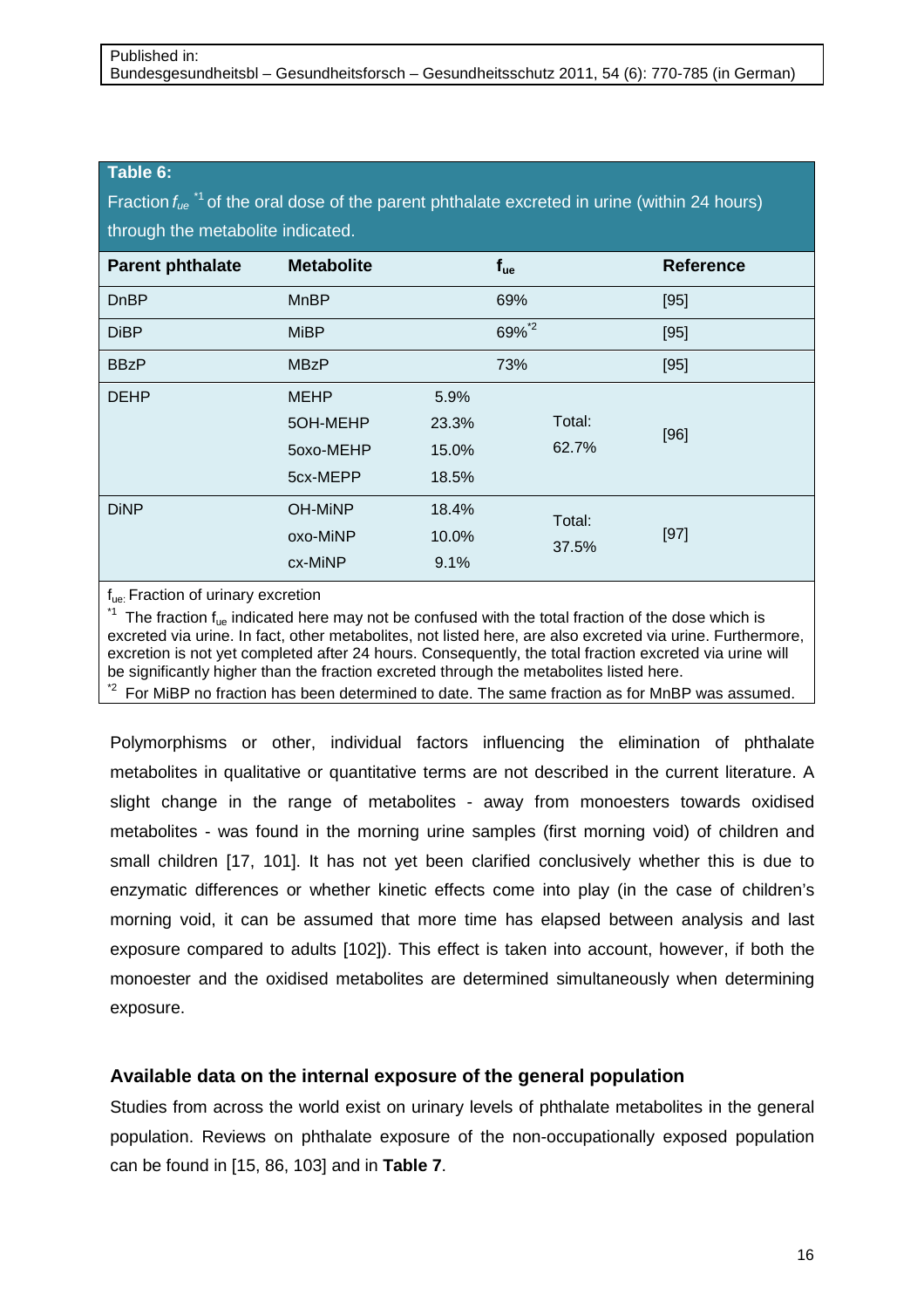#### **Table 6:**

Fraction  $f_{ue}$ <sup>\*1</sup> of the oral dose of the parent phthalate excreted in urine (within 24 hours) through the metabolite indicated.

| <b>Parent phthalate</b> | <b>Metabolite</b>                                |                                 | $f_{ue}$ |                 | <b>Reference</b> |
|-------------------------|--------------------------------------------------|---------------------------------|----------|-----------------|------------------|
| <b>DnBP</b>             | <b>MnBP</b>                                      |                                 | 69%      |                 | [95]             |
| <b>DiBP</b>             | <b>MiBP</b>                                      |                                 | 69%*2    |                 | [95]             |
| <b>BBzP</b>             | <b>MBzP</b>                                      |                                 | 73%      |                 | [95]             |
| <b>DEHP</b>             | <b>MEHP</b><br>5OH-MEHP<br>50x0-MEHP<br>5cx-MEPP | 5.9%<br>23.3%<br>15.0%<br>18.5% |          | Total:<br>62.7% | [96]             |
| <b>DiNP</b>             | <b>OH-MINP</b><br>oxo-MiNP<br>cx-MiNP            | 18.4%<br>10.0%<br>9.1%          |          | Total:<br>37.5% | $[97]$           |

#### f<sub>ue:</sub> Fraction of urinary excretion

 $*1$  The fraction  $f_{ue}$  indicated here may not be confused with the total fraction of the dose which is excreted via urine. In fact, other metabolites, not listed here, are also excreted via urine. Furthermore, excretion is not yet completed after 24 hours. Consequently, the total fraction excreted via urine will be significantly higher than the fraction excreted through the metabolites listed here.

 $i<sup>2</sup>$  For MiBP no fraction has been determined to date. The same fraction as for MnBP was assumed.

Polymorphisms or other, individual factors influencing the elimination of phthalate metabolites in qualitative or quantitative terms are not described in the current literature. A slight change in the range of metabolites - away from monoesters towards oxidised metabolites - was found in the morning urine samples (first morning void) of children and small children [17, 101]. It has not yet been clarified conclusively whether this is due to enzymatic differences or whether kinetic effects come into play (in the case of children's morning void, it can be assumed that more time has elapsed between analysis and last exposure compared to adults [102]). This effect is taken into account, however, if both the monoester and the oxidised metabolites are determined simultaneously when determining exposure.

## **Available data on the internal exposure of the general population**

Studies from across the world exist on urinary levels of phthalate metabolites in the general population. Reviews on phthalate exposure of the non-occupationally exposed population can be found in [15, 86, 103] and in **Table 7**.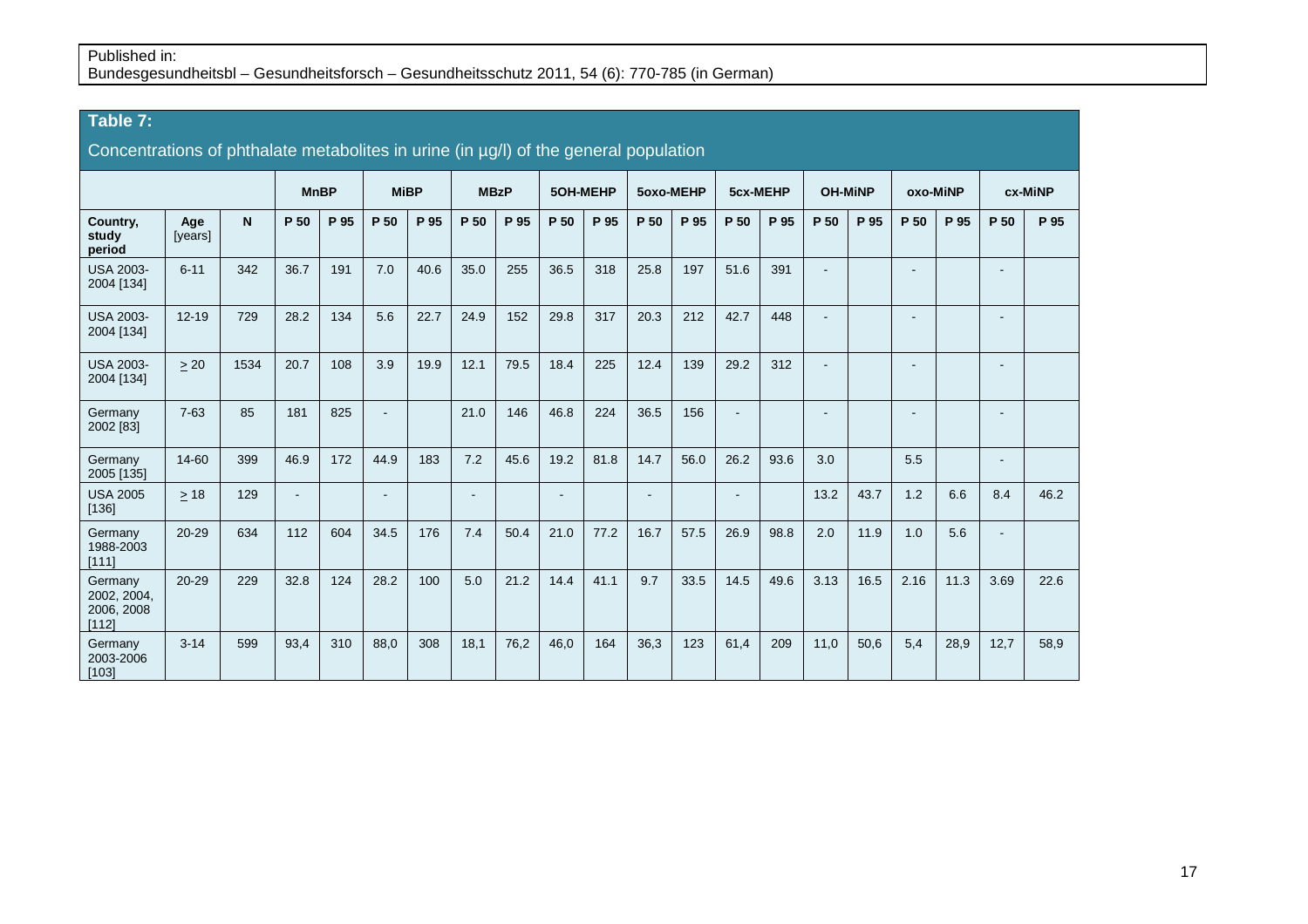# **Table 7:**

| Concentrations of phthalate metabolites in urine (in µg/l) of the general population |                |      |                |      |                          |      |                          |             |                 |      |        |           |                          |          |      |                |                          |      |                |         |
|--------------------------------------------------------------------------------------|----------------|------|----------------|------|--------------------------|------|--------------------------|-------------|-----------------|------|--------|-----------|--------------------------|----------|------|----------------|--------------------------|------|----------------|---------|
|                                                                                      |                |      | <b>MnBP</b>    |      | <b>MiBP</b>              |      |                          | <b>MBzP</b> | <b>5OH-MEHP</b> |      |        | 5oxo-MEHP |                          | 5cx-MEHP |      | <b>OH-MINP</b> | oxo-MiNP                 |      |                | cx-MiNP |
| Country,<br>study<br>period                                                          | Age<br>[years] | N.   | P 50           | P 95 | P 50                     | P 95 | P 50                     | P 95        | P 50            | P 95 | P 50   | P 95      | P 50                     | P 95     | P 50 | P 95           | P 50                     | P 95 | P 50           | P 95    |
| <b>USA 2003-</b><br>2004 [134]                                                       | $6 - 11$       | 342  | 36.7           | 191  | 7.0                      | 40.6 | 35.0                     | 255         | 36.5            | 318  | 25.8   | 197       | 51.6                     | 391      |      |                | ٠                        |      |                |         |
| <b>USA 2003-</b><br>2004 [134]                                                       | $12 - 19$      | 729  | 28.2           | 134  | 5.6                      | 22.7 | 24.9                     | 152         | 29.8            | 317  | 20.3   | 212       | 42.7                     | 448      | Ē,   |                | $\blacksquare$           |      | ۰              |         |
| <b>USA 2003-</b><br>2004 [134]                                                       | > 20           | 1534 | 20.7           | 108  | 3.9                      | 19.9 | 12.1                     | 79.5        | 18.4            | 225  | 12.4   | 139       | 29.2                     | 312      | ÷    |                | $\overline{\phantom{a}}$ |      | ۰              |         |
| Germany<br>2002 [83]                                                                 | $7 - 63$       | 85   | 181            | 825  | $\blacksquare$           |      | 21.0                     | 146         | 46.8            | 224  | 36.5   | 156       | $\blacksquare$           |          | ٠    |                | $\blacksquare$           |      | ۰              |         |
| Germany<br>2005 [135]                                                                | 14-60          | 399  | 46.9           | 172  | 44.9                     | 183  | 7.2                      | 45.6        | 19.2            | 81.8 | 14.7   | 56.0      | 26.2                     | 93.6     | 3.0  |                | 5.5                      |      | ۰              |         |
| <b>USA 2005</b><br>[136]                                                             | $>18$          | 129  | $\blacksquare$ |      | $\overline{\phantom{a}}$ |      | $\overline{\phantom{a}}$ |             | $\sim$          |      | $\sim$ |           | $\overline{\phantom{a}}$ |          | 13.2 | 43.7           | 1.2                      | 6.6  | 8.4            | 46.2    |
| Germany<br>1988-2003<br>[111]                                                        | $20 - 29$      | 634  | 112            | 604  | 34.5                     | 176  | 7.4                      | 50.4        | 21.0            | 77.2 | 16.7   | 57.5      | 26.9                     | 98.8     | 2.0  | 11.9           | 1.0                      | 5.6  | $\blacksquare$ |         |
| Germany<br>2002, 2004,<br>2006, 2008<br>[112]                                        | $20 - 29$      | 229  | 32.8           | 124  | 28.2                     | 100  | 5.0                      | 21.2        | 14.4            | 41.1 | 9.7    | 33.5      | 14.5                     | 49.6     | 3.13 | 16.5           | 2.16                     | 11.3 | 3.69           | 22.6    |
| Germany<br>2003-2006<br>[103]                                                        | $3 - 14$       | 599  | 93,4           | 310  | 88,0                     | 308  | 18,1                     | 76,2        | 46,0            | 164  | 36,3   | 123       | 61,4                     | 209      | 11,0 | 50,6           | 5,4                      | 28,9 | 12,7           | 58,9    |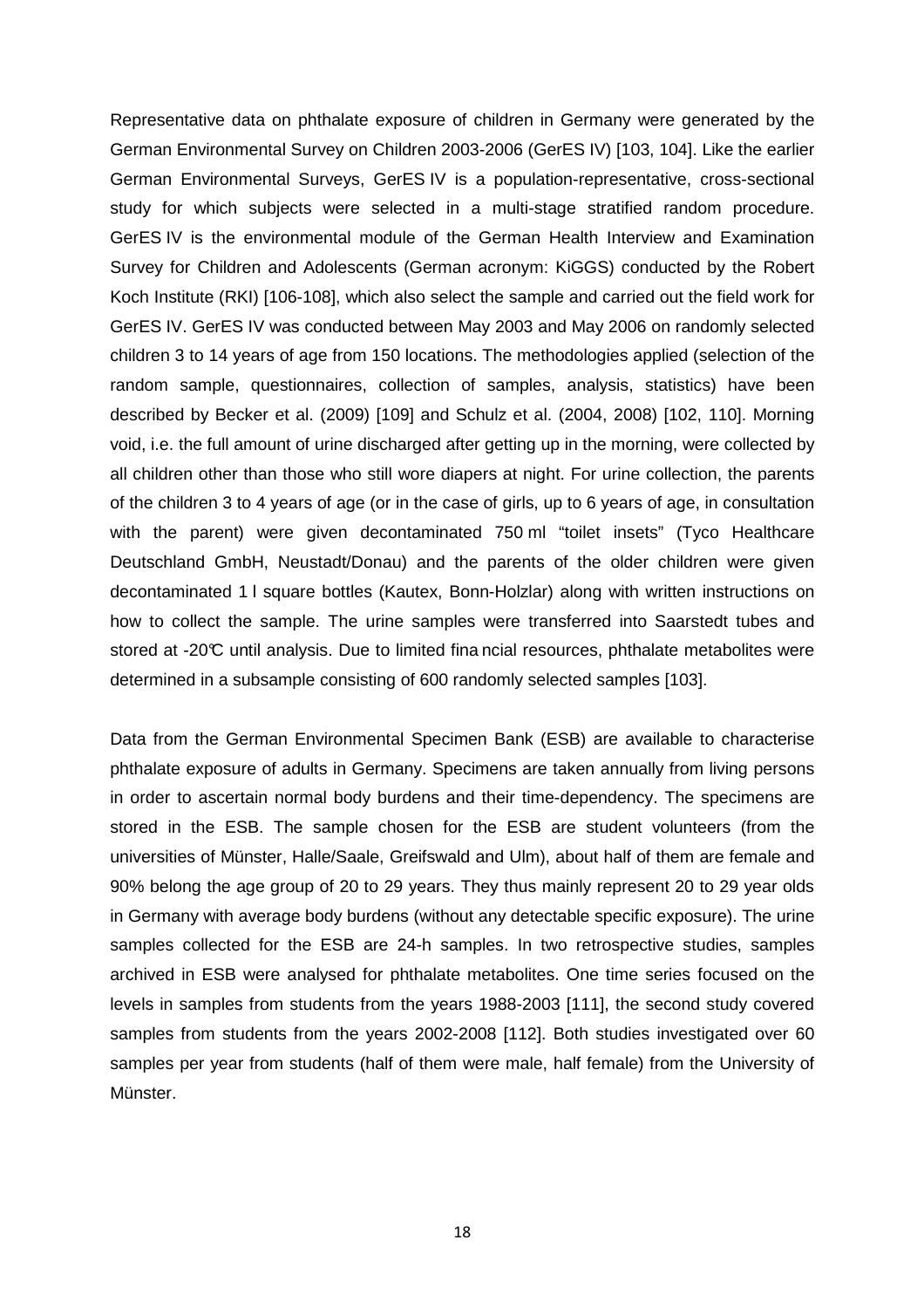Representative data on phthalate exposure of children in Germany were generated by the German Environmental Survey on Children 2003-2006 (GerES IV) [103, 104]. Like the earlier German Environmental Surveys, GerES IV is a population-representative, cross-sectional study for which subjects were selected in a multi-stage stratified random procedure. GerES IV is the environmental module of the German Health Interview and Examination Survey for Children and Adolescents (German acronym: KiGGS) conducted by the Robert Koch Institute (RKI) [106-108], which also select the sample and carried out the field work for GerES IV. GerES IV was conducted between May 2003 and May 2006 on randomly selected children 3 to 14 years of age from 150 locations. The methodologies applied (selection of the random sample, questionnaires, collection of samples, analysis, statistics) have been described by Becker et al. (2009) [109] and Schulz et al. (2004, 2008) [102, 110]. Morning void, i.e. the full amount of urine discharged after getting up in the morning, were collected by all children other than those who still wore diapers at night. For urine collection, the parents of the children 3 to 4 years of age (or in the case of girls, up to 6 years of age, in consultation with the parent) were given decontaminated 750 ml "toilet insets" (Tyco Healthcare Deutschland GmbH, Neustadt/Donau) and the parents of the older children were given decontaminated 1 l square bottles (Kautex, Bonn-Holzlar) along with written instructions on how to collect the sample. The urine samples were transferred into Saarstedt tubes and stored at -20°C until analysis. Due to limited fina ncial resources, phthalate metabolites were determined in a subsample consisting of 600 randomly selected samples [103].

Data from the German Environmental Specimen Bank (ESB) are available to characterise phthalate exposure of adults in Germany. Specimens are taken annually from living persons in order to ascertain normal body burdens and their time-dependency. The specimens are stored in the ESB. The sample chosen for the ESB are student volunteers (from the universities of Münster, Halle/Saale, Greifswald and Ulm), about half of them are female and 90% belong the age group of 20 to 29 years. They thus mainly represent 20 to 29 year olds in Germany with average body burdens (without any detectable specific exposure). The urine samples collected for the ESB are 24-h samples. In two retrospective studies, samples archived in ESB were analysed for phthalate metabolites. One time series focused on the levels in samples from students from the years 1988-2003 [111], the second study covered samples from students from the years 2002-2008 [112]. Both studies investigated over 60 samples per year from students (half of them were male, half female) from the University of Münster.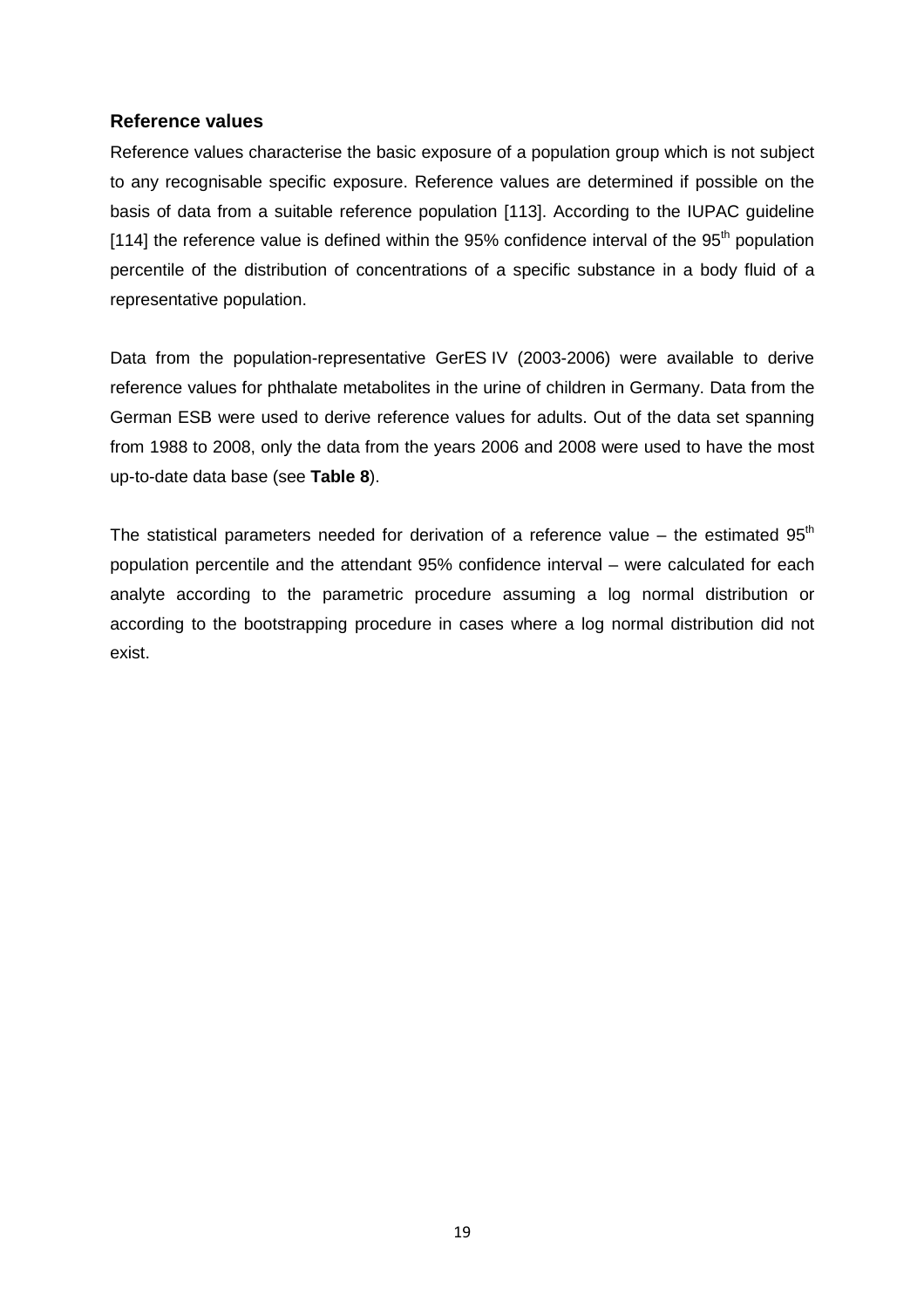## **Reference values**

Reference values characterise the basic exposure of a population group which is not subject to any recognisable specific exposure. Reference values are determined if possible on the basis of data from a suitable reference population [113]. According to the IUPAC guideline [114] the reference value is defined within the 95% confidence interval of the  $95<sup>th</sup>$  population percentile of the distribution of concentrations of a specific substance in a body fluid of a representative population.

Data from the population-representative GerES IV (2003-2006) were available to derive reference values for phthalate metabolites in the urine of children in Germany. Data from the German ESB were used to derive reference values for adults. Out of the data set spanning from 1988 to 2008, only the data from the years 2006 and 2008 were used to have the most up-to-date data base (see **Table 8**).

The statistical parameters needed for derivation of a reference value – the estimated  $95<sup>th</sup>$ population percentile and the attendant 95% confidence interval – were calculated for each analyte according to the parametric procedure assuming a log normal distribution or according to the bootstrapping procedure in cases where a log normal distribution did not exist.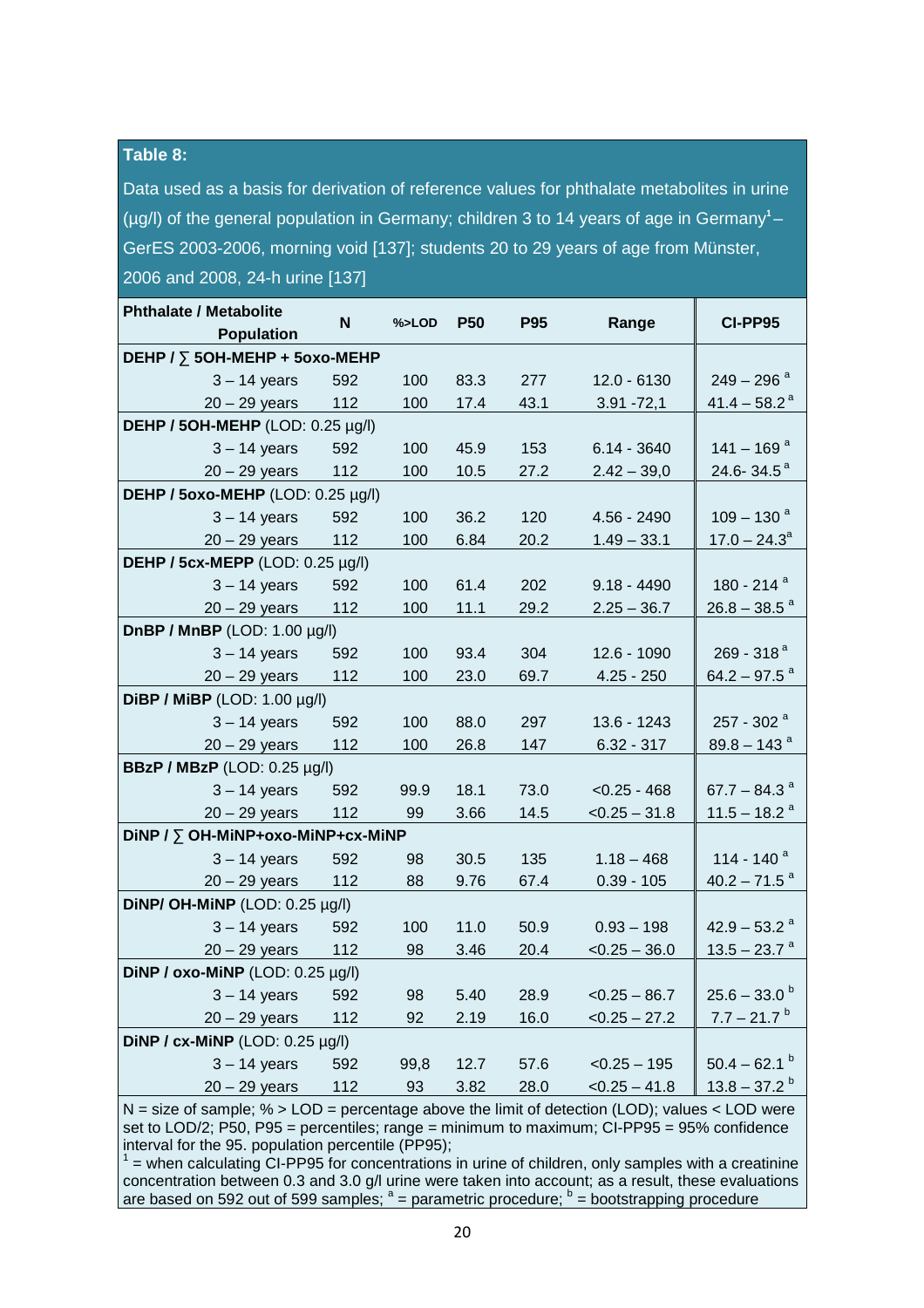#### **Table 8:**

Data used as a basis for derivation of reference values for phthalate metabolites in urine (µg/l) of the general population in Germany; children 3 to 14 years of age in Germany<sup>1</sup>-GerES 2003-2006, morning void [137]; students 20 to 29 years of age from Münster, 2006 and 2008, 24-h urine [137]

| <b>Phthalate / Metabolite</b><br><b>Population</b> | N   | %>LOD | P <sub>50</sub> | <b>P95</b> | Range           | <b>CI-PP95</b>             |
|----------------------------------------------------|-----|-------|-----------------|------------|-----------------|----------------------------|
| DEHP / $\overline{)}$ 50H-MEHP + 50x0-MEHP         |     |       |                 |            |                 |                            |
| $3 - 14$ years                                     | 592 | 100   | 83.3            | 277        | $12.0 - 6130$   | $249 - 296$ <sup>a</sup>   |
| $20 - 29$ years                                    | 112 | 100   | 17.4            | 43.1       | $3.91 - 72,1$   | $41.4 - 58.2$ <sup>a</sup> |
| DEHP / 50H-MEHP (LOD: 0.25 µg/l)                   |     |       |                 |            |                 |                            |
| $3 - 14$ years                                     | 592 | 100   | 45.9            | 153        | $6.14 - 3640$   | $141 - 169$ <sup>a</sup>   |
| $20 - 29$ years                                    | 112 | 100   | 10.5            | 27.2       | $2.42 - 39,0$   | 24.6-34.5 $a$              |
| DEHP / 50x0-MEHP (LOD: 0.25 µg/l)                  |     |       |                 |            |                 |                            |
| $3 - 14$ years                                     | 592 | 100   | 36.2            | 120        | $4.56 - 2490$   | $109 - 130$ <sup>a</sup>   |
| $20 - 29$ years                                    | 112 | 100   | 6.84            | 20.2       | $1.49 - 33.1$   | $17.0 - 24.3^{\circ}$      |
| DEHP / 5cx-MEPP (LOD: 0.25 µg/l)                   |     |       |                 |            |                 |                            |
| $3 - 14$ years                                     | 592 | 100   | 61.4            | 202        | $9.18 - 4490$   | 180 - 214 <sup>a</sup>     |
| $20 - 29$ years                                    | 112 | 100   | 11.1            | 29.2       | $2.25 - 36.7$   | $26.8 - 38.5$ <sup>a</sup> |
| <b>DnBP / MnBP</b> (LOD: 1.00 µg/l)                |     |       |                 |            |                 |                            |
| $3 - 14$ years                                     | 592 | 100   | 93.4            | 304        | 12.6 - 1090     | 269 - 318 $a$              |
| $20 - 29$ years                                    | 112 | 100   | 23.0            | 69.7       | $4.25 - 250$    | $64.2 - 97.5$ <sup>a</sup> |
| DiBP / MiBP (LOD: 1.00 µg/l)                       |     |       |                 |            |                 |                            |
| $3 - 14$ years                                     | 592 | 100   | 88.0            | 297        | 13.6 - 1243     | 257 - 302 <sup>a</sup>     |
| $20 - 29$ years                                    | 112 | 100   | 26.8            | 147        | $6.32 - 317$    | $89.8 - 143$ <sup>a</sup>  |
| <b>BBzP / MBzP</b> (LOD: 0.25 µg/l)                |     |       |                 |            |                 |                            |
| $3 - 14$ years                                     | 592 | 99.9  | 18.1            | 73.0       | $< 0.25 - 468$  | 67.7 – 84.3 $a$            |
| $20 - 29$ years                                    | 112 | 99    | 3.66            | 14.5       | $< 0.25 - 31.8$ | $11.5 - 18.2$ <sup>a</sup> |
| DINP / ∑ OH-MINP+oxo-MINP+cx-MINP                  |     |       |                 |            |                 |                            |
| $3 - 14$ years                                     | 592 | 98    | 30.5            | 135        | $1.18 - 468$    | 114 - 140 <sup>a</sup>     |
| $20 - 29$ years                                    | 112 | 88    | 9.76            | 67.4       | $0.39 - 105$    | $40.2 - 71.5$ <sup>a</sup> |
| DINP/ OH-MINP (LOD: $0.25 \mu g/l$ )               |     |       |                 |            |                 |                            |
| $3 - 14$ years                                     | 592 | 100   | 11.0            | 50.9       | $0.93 - 198$    | $42.9 - 53.2$ <sup>a</sup> |
| $20 - 29$ years                                    | 112 | 98    | 3.46            | 20.4       | $< 0.25 - 36.0$ | $13.5 - 23.7$ <sup>a</sup> |
| DiNP / oxo-MiNP (LOD: 0.25 µg/l)                   |     |       |                 |            |                 |                            |
| $3 - 14$ years                                     | 592 | 98    | 5.40            | 28.9       | $< 0.25 - 86.7$ | $25.6 - 33.0^b$            |
| $20 - 29$ years                                    | 112 | 92    | 2.19            | 16.0       | $< 0.25 - 27.2$ | $7.7 - 21.7$ <sup>b</sup>  |
| DiNP / cx-MiNP (LOD: 0.25 µg/l)                    |     |       |                 |            |                 |                            |
| $3 - 14$ years                                     | 592 | 99,8  | 12.7            | 57.6       | $< 0.25 - 195$  | $50.4 - 62.1$              |
| $20 - 29$ years                                    | 112 | 93    | 3.82            | 28.0       | $< 0.25 - 41.8$ | $13.8 - 37.2$ <sup>b</sup> |

 $N =$  size of sample;  $\% >$  LOD = percentage above the limit of detection (LOD); values < LOD were set to LOD/2; P50, P95 = percentiles; range = minimum to maximum; CI-PP95 = 95% confidence interval for the 95. population percentile (PP95);

 $1$  = when calculating CI-PP95 for concentrations in urine of children, only samples with a creatinine concentration between 0.3 and 3.0 g/l urine were taken into account; as a result, these evaluations are based on 592 out of 599 samples;  $a =$  parametric procedure;  $b =$  bootstrapping procedure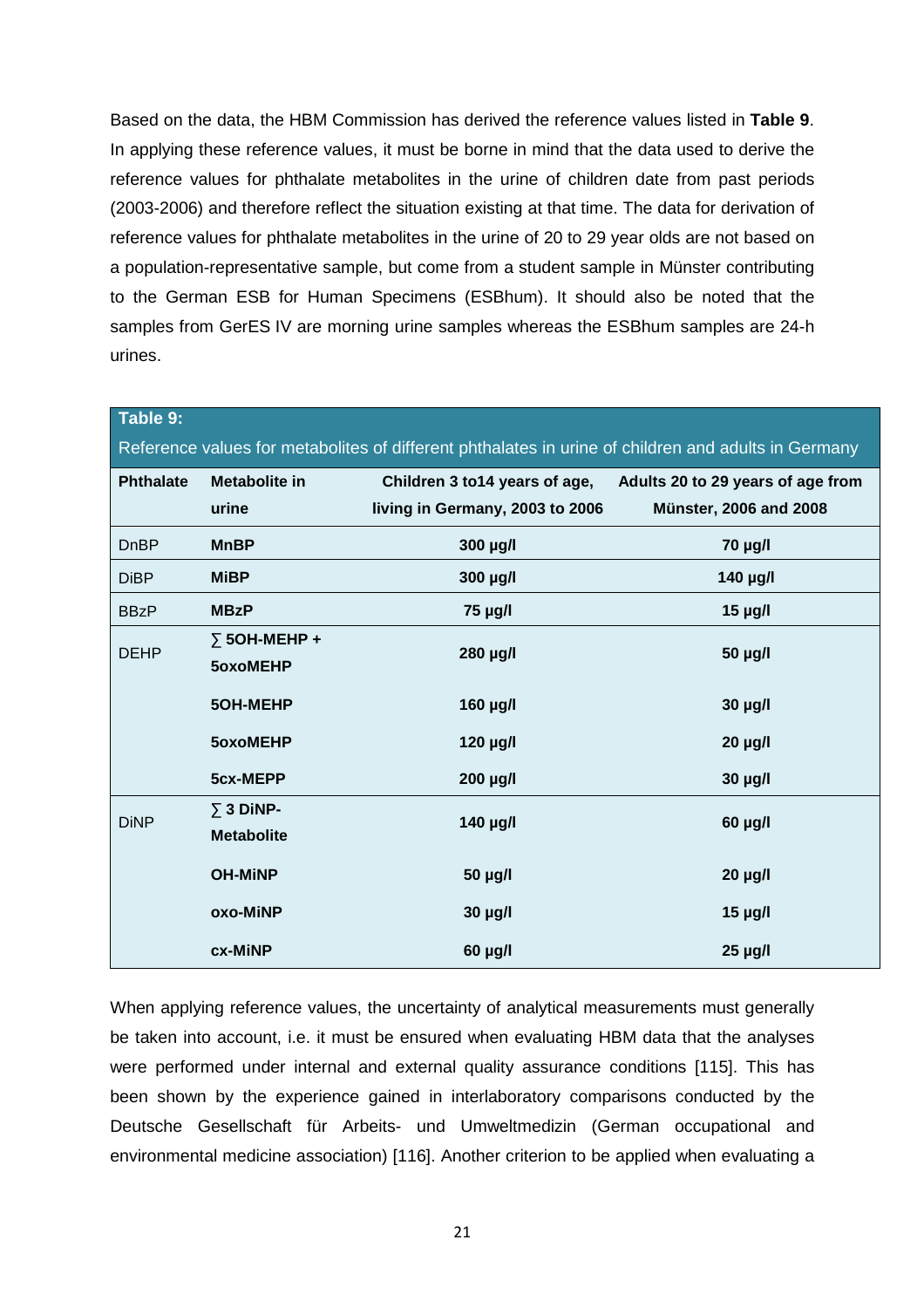Based on the data, the HBM Commission has derived the reference values listed in **Table 9**. In applying these reference values, it must be borne in mind that the data used to derive the reference values for phthalate metabolites in the urine of children date from past periods (2003-2006) and therefore reflect the situation existing at that time. The data for derivation of reference values for phthalate metabolites in the urine of 20 to 29 year olds are not based on a population-representative sample, but come from a student sample in Münster contributing to the German ESB for Human Specimens (ESBhum). It should also be noted that the samples from GerES IV are morning urine samples whereas the ESBhum samples are 24-h urines.

| Table 9:                                                                                            |                           |                                 |                                   |  |  |  |  |  |  |
|-----------------------------------------------------------------------------------------------------|---------------------------|---------------------------------|-----------------------------------|--|--|--|--|--|--|
| Reference values for metabolites of different phthalates in urine of children and adults in Germany |                           |                                 |                                   |  |  |  |  |  |  |
| <b>Phthalate</b>                                                                                    | <b>Metabolite in</b>      | Children 3 to 14 years of age,  | Adults 20 to 29 years of age from |  |  |  |  |  |  |
|                                                                                                     | urine                     | living in Germany, 2003 to 2006 | <b>Münster, 2006 and 2008</b>     |  |  |  |  |  |  |
| <b>DnBP</b>                                                                                         | <b>MnBP</b>               | 300 µg/l                        | 70 µg/l                           |  |  |  |  |  |  |
| <b>DiBP</b>                                                                                         | <b>MiBP</b>               | 300 µg/l                        | 140 µg/l                          |  |  |  |  |  |  |
| <b>BBzP</b>                                                                                         | <b>MBzP</b>               | 75 µg/l                         | $15$ µg/l                         |  |  |  |  |  |  |
| <b>DEHP</b>                                                                                         | $\overline{)}$ 50H-MEHP + | 280 µg/l                        | 50 µg/l                           |  |  |  |  |  |  |
|                                                                                                     | 5oxoMEHP                  |                                 |                                   |  |  |  |  |  |  |
|                                                                                                     | 5OH-MEHP                  | 160 µg/l                        | 30 µg/l                           |  |  |  |  |  |  |
|                                                                                                     | 5oxoMEHP                  | 120 µg/l                        | $20 \mu g/l$                      |  |  |  |  |  |  |
|                                                                                                     | 5cx-MEPP                  | 200 µg/l                        | 30 µg/l                           |  |  |  |  |  |  |
| <b>DiNP</b>                                                                                         | $\Sigma$ 3 DiNP-          | 140 µg/l                        | 60 µg/l                           |  |  |  |  |  |  |
|                                                                                                     | <b>Metabolite</b>         |                                 |                                   |  |  |  |  |  |  |
|                                                                                                     | <b>OH-MINP</b>            | 50 µg/l                         | $20 \mu g/l$                      |  |  |  |  |  |  |
|                                                                                                     | oxo-MiNP                  | 30 µg/l                         | $15$ µg/l                         |  |  |  |  |  |  |
|                                                                                                     | cx-MiNP                   | $60$ µg/l                       | $25 \mu g/l$                      |  |  |  |  |  |  |

When applying reference values, the uncertainty of analytical measurements must generally be taken into account, i.e. it must be ensured when evaluating HBM data that the analyses were performed under internal and external quality assurance conditions [115]. This has been shown by the experience gained in interlaboratory comparisons conducted by the Deutsche Gesellschaft für Arbeits- und Umweltmedizin (German occupational and environmental medicine association) [116]. Another criterion to be applied when evaluating a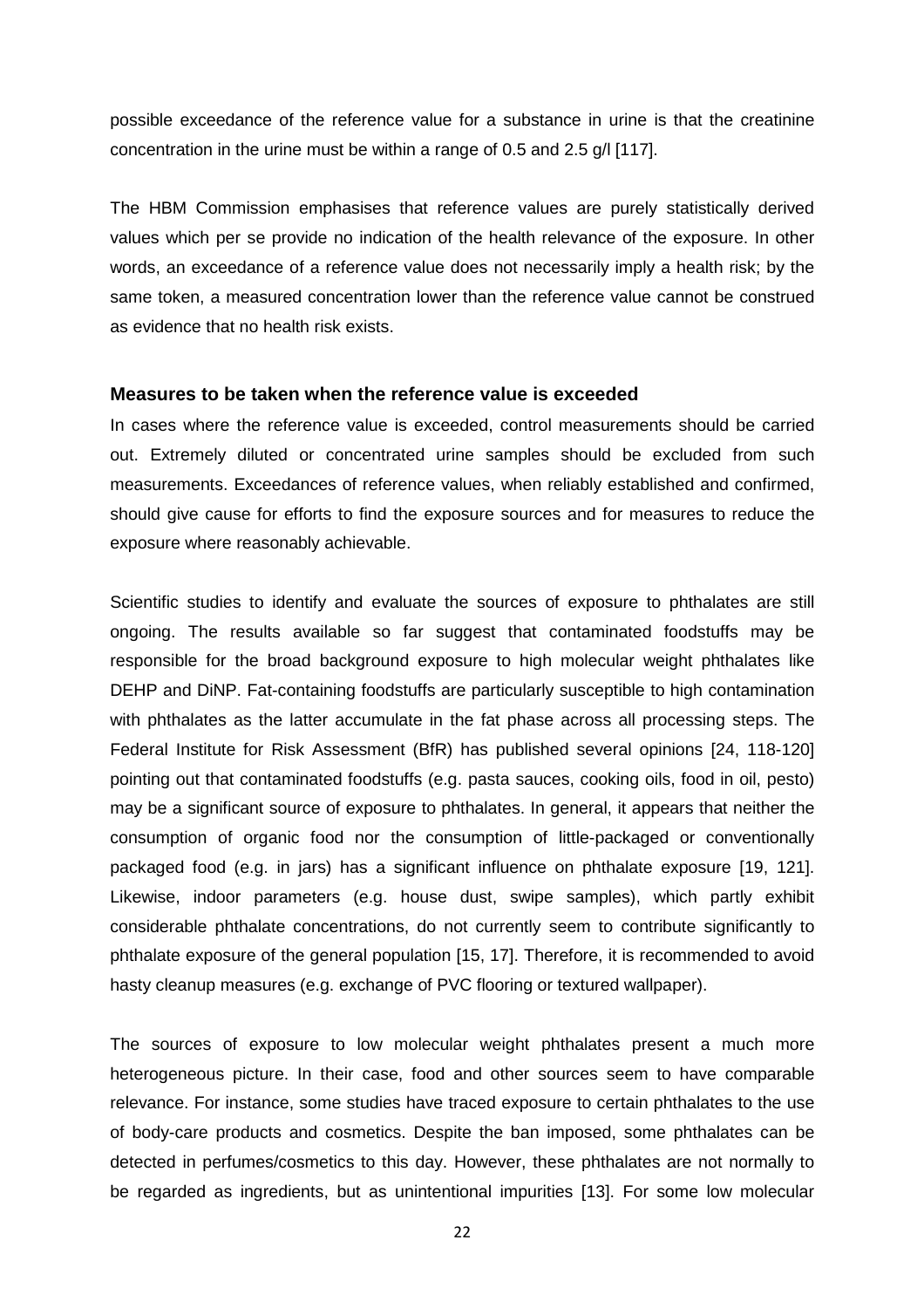possible exceedance of the reference value for a substance in urine is that the creatinine concentration in the urine must be within a range of 0.5 and 2.5 g/l [117].

The HBM Commission emphasises that reference values are purely statistically derived values which per se provide no indication of the health relevance of the exposure. In other words, an exceedance of a reference value does not necessarily imply a health risk; by the same token, a measured concentration lower than the reference value cannot be construed as evidence that no health risk exists.

#### **Measures to be taken when the reference value is exceeded**

In cases where the reference value is exceeded, control measurements should be carried out. Extremely diluted or concentrated urine samples should be excluded from such measurements. Exceedances of reference values, when reliably established and confirmed, should give cause for efforts to find the exposure sources and for measures to reduce the exposure where reasonably achievable.

Scientific studies to identify and evaluate the sources of exposure to phthalates are still ongoing. The results available so far suggest that contaminated foodstuffs may be responsible for the broad background exposure to high molecular weight phthalates like DEHP and DiNP. Fat-containing foodstuffs are particularly susceptible to high contamination with phthalates as the latter accumulate in the fat phase across all processing steps. The Federal Institute for Risk Assessment (BfR) has published several opinions [24, 118-120] pointing out that contaminated foodstuffs (e.g. pasta sauces, cooking oils, food in oil, pesto) may be a significant source of exposure to phthalates. In general, it appears that neither the consumption of organic food nor the consumption of little-packaged or conventionally packaged food (e.g. in jars) has a significant influence on phthalate exposure [19, 121]. Likewise, indoor parameters (e.g. house dust, swipe samples), which partly exhibit considerable phthalate concentrations, do not currently seem to contribute significantly to phthalate exposure of the general population [15, 17]. Therefore, it is recommended to avoid hasty cleanup measures (e.g. exchange of PVC flooring or textured wallpaper).

The sources of exposure to low molecular weight phthalates present a much more heterogeneous picture. In their case, food and other sources seem to have comparable relevance. For instance, some studies have traced exposure to certain phthalates to the use of body-care products and cosmetics. Despite the ban imposed, some phthalates can be detected in perfumes/cosmetics to this day. However, these phthalates are not normally to be regarded as ingredients, but as unintentional impurities [13]. For some low molecular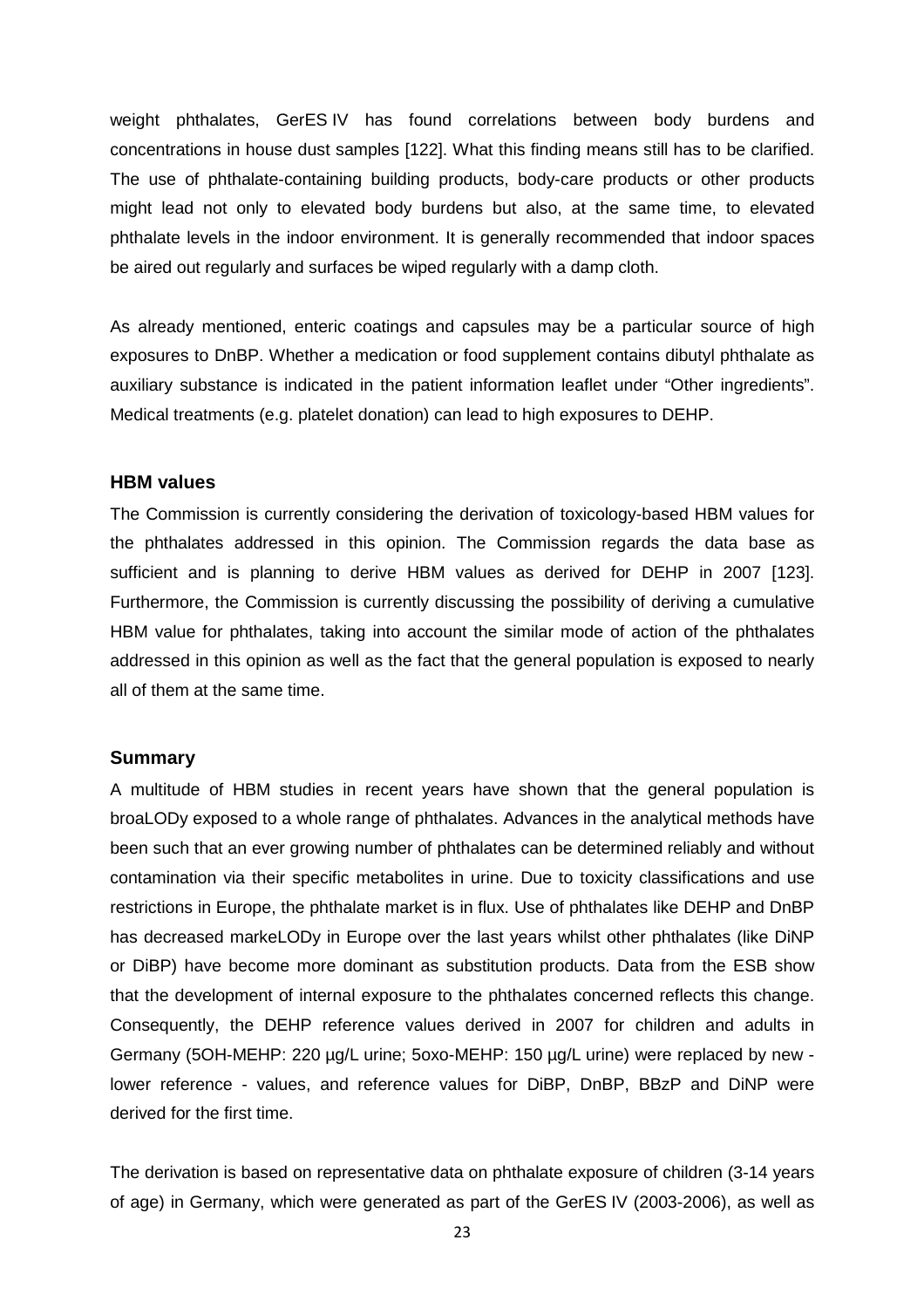weight phthalates, GerES IV has found correlations between body burdens and concentrations in house dust samples [122]. What this finding means still has to be clarified. The use of phthalate-containing building products, body-care products or other products might lead not only to elevated body burdens but also, at the same time, to elevated phthalate levels in the indoor environment. It is generally recommended that indoor spaces be aired out regularly and surfaces be wiped regularly with a damp cloth.

As already mentioned, enteric coatings and capsules may be a particular source of high exposures to DnBP. Whether a medication or food supplement contains dibutyl phthalate as auxiliary substance is indicated in the patient information leaflet under "Other ingredients". Medical treatments (e.g. platelet donation) can lead to high exposures to DEHP.

#### **HBM values**

The Commission is currently considering the derivation of toxicology-based HBM values for the phthalates addressed in this opinion. The Commission regards the data base as sufficient and is planning to derive HBM values as derived for DEHP in 2007 [123]. Furthermore, the Commission is currently discussing the possibility of deriving a cumulative HBM value for phthalates, taking into account the similar mode of action of the phthalates addressed in this opinion as well as the fact that the general population is exposed to nearly all of them at the same time.

#### **Summary**

A multitude of HBM studies in recent years have shown that the general population is broaLODy exposed to a whole range of phthalates. Advances in the analytical methods have been such that an ever growing number of phthalates can be determined reliably and without contamination via their specific metabolites in urine. Due to toxicity classifications and use restrictions in Europe, the phthalate market is in flux. Use of phthalates like DEHP and DnBP has decreased markeLODy in Europe over the last years whilst other phthalates (like DiNP or DiBP) have become more dominant as substitution products. Data from the ESB show that the development of internal exposure to the phthalates concerned reflects this change. Consequently, the DEHP reference values derived in 2007 for children and adults in Germany (5OH-MEHP: 220 µg/L urine; 5oxo-MEHP: 150 µg/L urine) were replaced by new lower reference - values, and reference values for DiBP, DnBP, BBzP and DiNP were derived for the first time.

The derivation is based on representative data on phthalate exposure of children (3-14 years of age) in Germany, which were generated as part of the GerES IV (2003-2006), as well as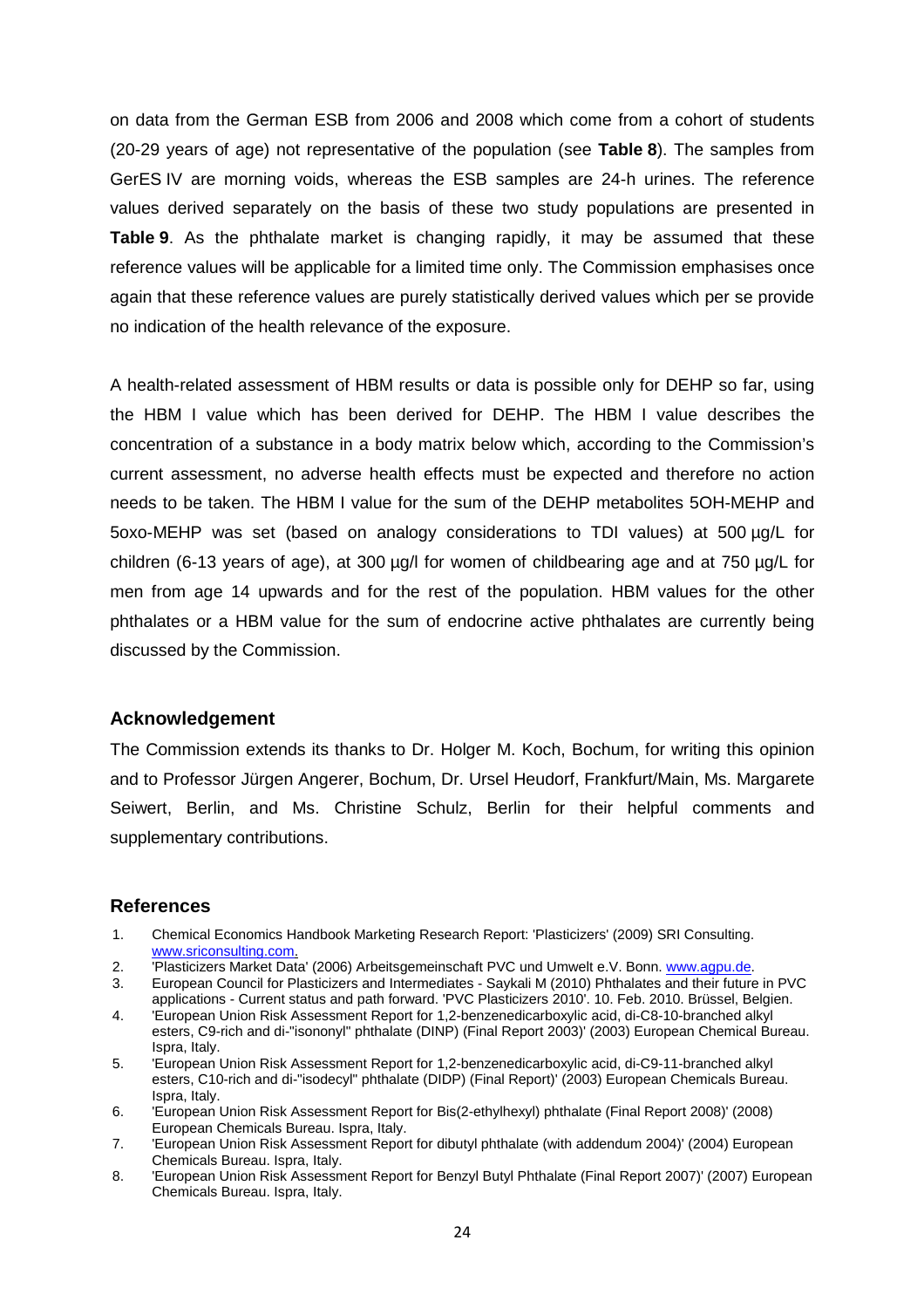on data from the German ESB from 2006 and 2008 which come from a cohort of students (20-29 years of age) not representative of the population (see **Table 8**). The samples from GerES IV are morning voids, whereas the ESB samples are 24-h urines. The reference values derived separately on the basis of these two study populations are presented in **Table 9**. As the phthalate market is changing rapidly, it may be assumed that these reference values will be applicable for a limited time only. The Commission emphasises once again that these reference values are purely statistically derived values which per se provide no indication of the health relevance of the exposure.

A health-related assessment of HBM results or data is possible only for DEHP so far, using the HBM I value which has been derived for DEHP. The HBM I value describes the concentration of a substance in a body matrix below which, according to the Commission's current assessment, no adverse health effects must be expected and therefore no action needs to be taken. The HBM I value for the sum of the DEHP metabolites 5OH-MEHP and 5oxo-MEHP was set (based on analogy considerations to TDI values) at 500 µg/L for children (6-13 years of age), at 300 µg/l for women of childbearing age and at 750 µg/L for men from age 14 upwards and for the rest of the population. HBM values for the other phthalates or a HBM value for the sum of endocrine active phthalates are currently being discussed by the Commission.

#### **Acknowledgement**

The Commission extends its thanks to Dr. Holger M. Koch, Bochum, for writing this opinion and to Professor Jürgen Angerer, Bochum, Dr. Ursel Heudorf, Frankfurt/Main, Ms. Margarete Seiwert, Berlin, and Ms. Christine Schulz, Berlin for their helpful comments and supplementary contributions.

## **References**

- 1. Chemical Economics Handbook Marketing Research Report: 'Plasticizers' (2009) SRI Consulting. www.sriconsulting.com.
- 2. 'Plasticizers Market Data' (2006) Arbeitsgemeinschaft PVC und Umwelt e.V. Bonn. www.agpu.de.
- 3. European Council for Plasticizers and Intermediates Saykali M (2010) Phthalates and their future in PVC applications - Current status and path forward. 'PVC Plasticizers 2010'. 10. Feb. 2010. Brüssel, Belgien.
- 4. 'European Union Risk Assessment Report for 1,2-benzenedicarboxylic acid, di-C8-10-branched alkyl esters, C9-rich and di-"isononyl" phthalate (DINP) (Final Report 2003)' (2003) European Chemical Bureau. Ispra, Italy.
- 5. 'European Union Risk Assessment Report for 1,2-benzenedicarboxylic acid, di-C9-11-branched alkyl esters, C10-rich and di-"isodecyl" phthalate (DIDP) (Final Report)' (2003) European Chemicals Bureau. Ispra, Italy.
- 6. 'European Union Risk Assessment Report for Bis(2-ethylhexyl) phthalate (Final Report 2008)' (2008) European Chemicals Bureau. Ispra, Italy.
- 7. 'European Union Risk Assessment Report for dibutyl phthalate (with addendum 2004)' (2004) European Chemicals Bureau. Ispra, Italy.
- 8. 'European Union Risk Assessment Report for Benzyl Butyl Phthalate (Final Report 2007)' (2007) European Chemicals Bureau. Ispra, Italy.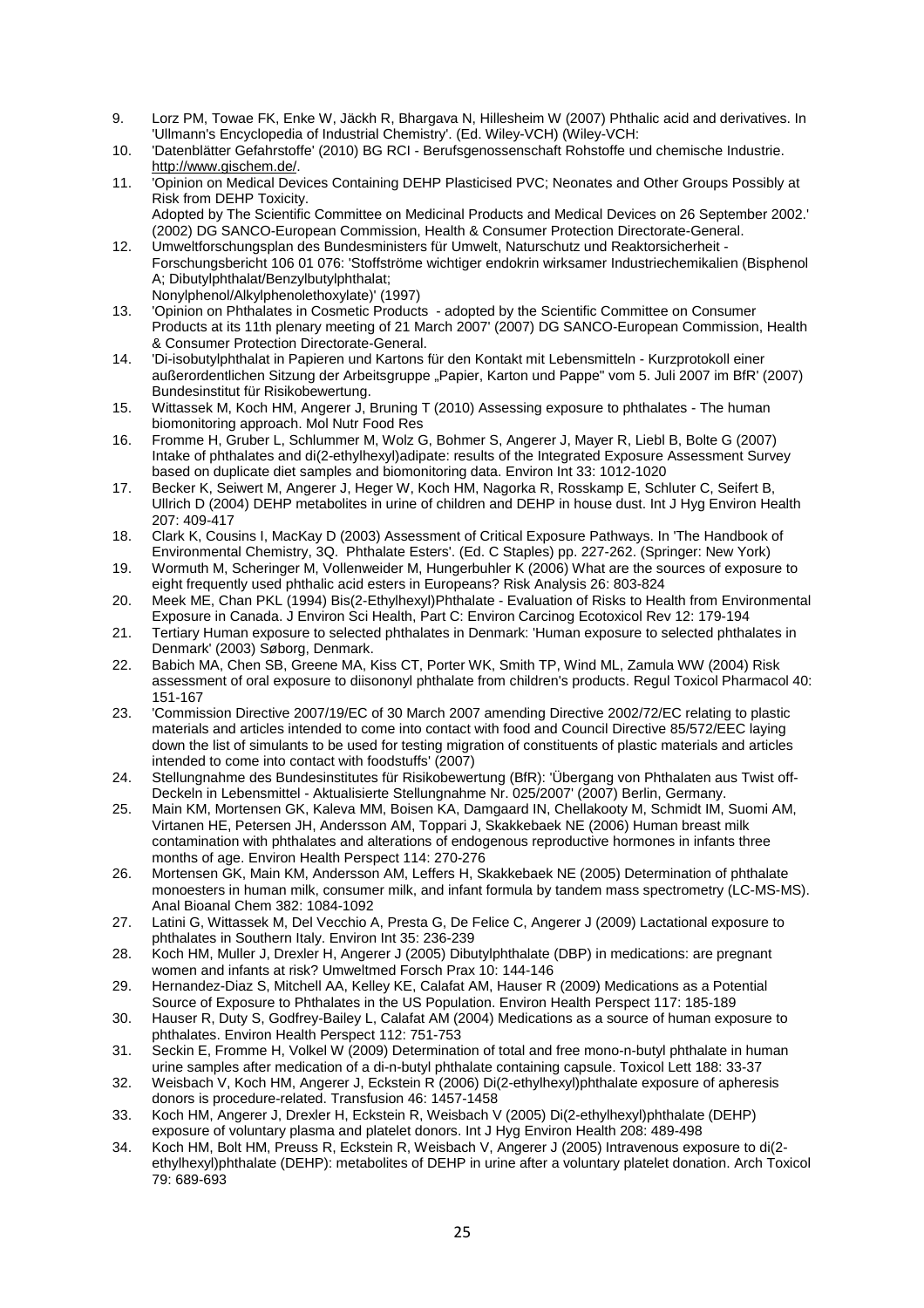- 9. Lorz PM, Towae FK, Enke W, Jäckh R, Bhargava N, Hillesheim W (2007) Phthalic acid and derivatives. In 'Ullmann's Encyclopedia of Industrial Chemistry'. (Ed. Wiley-VCH) (Wiley-VCH:
- 10. 'Datenblätter Gefahrstoffe' (2010) BG RCI Berufsgenossenschaft Rohstoffe und chemische Industrie. http://www.gischem.de/.
- 11. 'Opinion on Medical Devices Containing DEHP Plasticised PVC; Neonates and Other Groups Possibly at Risk from DEHP Toxicity. Adopted by The Scientific Committee on Medicinal Products and Medical Devices on 26 September 2002.' (2002) DG SANCO-European Commission, Health & Consumer Protection Directorate-General.
- 12. Umweltforschungsplan des Bundesministers für Umwelt, Naturschutz und Reaktorsicherheit Forschungsbericht 106 01 076: 'Stoffströme wichtiger endokrin wirksamer Industriechemikalien (Bisphenol A; Dibutylphthalat/Benzylbutylphthalat; Nonylphenol/Alkylphenolethoxylate)' (1997)
- 13. 'Opinion on Phthalates in Cosmetic Products adopted by the Scientific Committee on Consumer Products at its 11th plenary meeting of 21 March 2007' (2007) DG SANCO-European Commission, Health & Consumer Protection Directorate-General.
- 14. 'Di-isobutylphthalat in Papieren und Kartons für den Kontakt mit Lebensmitteln Kurzprotokoll einer außerordentlichen Sitzung der Arbeitsgruppe "Papier, Karton und Pappe" vom 5. Juli 2007 im BfR' (2007) Bundesinstitut für Risikobewertung.
- 15. Wittassek M, Koch HM, Angerer J, Bruning T (2010) Assessing exposure to phthalates The human biomonitoring approach. Mol Nutr Food Res
- 16. Fromme H, Gruber L, Schlummer M, Wolz G, Bohmer S, Angerer J, Mayer R, Liebl B, Bolte G (2007) Intake of phthalates and di(2-ethylhexyl)adipate: results of the Integrated Exposure Assessment Survey based on duplicate diet samples and biomonitoring data. Environ Int 33: 1012-1020
- 17. Becker K, Seiwert M, Angerer J, Heger W, Koch HM, Nagorka R, Rosskamp E, Schluter C, Seifert B, Ullrich D (2004) DEHP metabolites in urine of children and DEHP in house dust. Int J Hyg Environ Health 207: 409-417
- 18. Clark K, Cousins I, MacKay D (2003) Assessment of Critical Exposure Pathways. In 'The Handbook of Environmental Chemistry, 3Q. Phthalate Esters'. (Ed. C Staples) pp. 227-262. (Springer: New York)
- 19. Wormuth M, Scheringer M, Vollenweider M, Hungerbuhler K (2006) What are the sources of exposure to eight frequently used phthalic acid esters in Europeans? Risk Analysis 26: 803-824
- 20. Meek ME, Chan PKL (1994) Bis(2-Ethylhexyl)Phthalate Evaluation of Risks to Health from Environmental Exposure in Canada. J Environ Sci Health, Part C: Environ Carcinog Ecotoxicol Rev 12: 179-194
- 21. Tertiary Human exposure to selected phthalates in Denmark: 'Human exposure to selected phthalates in Denmark' (2003) Søborg, Denmark.
- 22. Babich MA, Chen SB, Greene MA, Kiss CT, Porter WK, Smith TP, Wind ML, Zamula WW (2004) Risk assessment of oral exposure to diisononyl phthalate from children's products. Regul Toxicol Pharmacol 40: 151-167
- 23. 'Commission Directive 2007/19/EC of 30 March 2007 amending Directive 2002/72/EC relating to plastic materials and articles intended to come into contact with food and Council Directive 85/572/EEC laying down the list of simulants to be used for testing migration of constituents of plastic materials and articles intended to come into contact with foodstuffs' (2007)
- 24. Stellungnahme des Bundesinstitutes für Risikobewertung (BfR): 'Übergang von Phthalaten aus Twist off-Deckeln in Lebensmittel - Aktualisierte Stellungnahme Nr. 025/2007' (2007) Berlin, Germany.
- 25. Main KM, Mortensen GK, Kaleva MM, Boisen KA, Damgaard IN, Chellakooty M, Schmidt IM, Suomi AM, Virtanen HE, Petersen JH, Andersson AM, Toppari J, Skakkebaek NE (2006) Human breast milk contamination with phthalates and alterations of endogenous reproductive hormones in infants three months of age. Environ Health Perspect 114: 270-276
- 26. Mortensen GK, Main KM, Andersson AM, Leffers H, Skakkebaek NE (2005) Determination of phthalate monoesters in human milk, consumer milk, and infant formula by tandem mass spectrometry (LC-MS-MS). Anal Bioanal Chem 382: 1084-1092
- 27. Latini G, Wittassek M, Del Vecchio A, Presta G, De Felice C, Angerer J (2009) Lactational exposure to phthalates in Southern Italy. Environ Int 35: 236-239
- 28. Koch HM, Muller J, Drexler H, Angerer J (2005) Dibutylphthalate (DBP) in medications: are pregnant women and infants at risk? Umweltmed Forsch Prax 10: 144-146
- 29. Hernandez-Diaz S, Mitchell AA, Kelley KE, Calafat AM, Hauser R (2009) Medications as a Potential Source of Exposure to Phthalates in the US Population. Environ Health Perspect 117: 185-189
- 30. Hauser R, Duty S, Godfrey-Bailey L, Calafat AM (2004) Medications as a source of human exposure to phthalates. Environ Health Perspect 112: 751-753
- 31. Seckin E, Fromme H, Volkel W (2009) Determination of total and free mono-n-butyl phthalate in human urine samples after medication of a di-n-butyl phthalate containing capsule. Toxicol Lett 188: 33-37
- 32. Weisbach V, Koch HM, Angerer J, Eckstein R (2006) Di(2-ethylhexyl)phthalate exposure of apheresis donors is procedure-related. Transfusion 46: 1457-1458
- 33. Koch HM, Angerer J, Drexler H, Eckstein R, Weisbach V (2005) Di(2-ethylhexyl)phthalate (DEHP) exposure of voluntary plasma and platelet donors. Int J Hyg Environ Health 208: 489-498
- 34. Koch HM, Bolt HM, Preuss R, Eckstein R, Weisbach V, Angerer J (2005) Intravenous exposure to di(2 ethylhexyl)phthalate (DEHP): metabolites of DEHP in urine after a voluntary platelet donation. Arch Toxicol 79: 689-693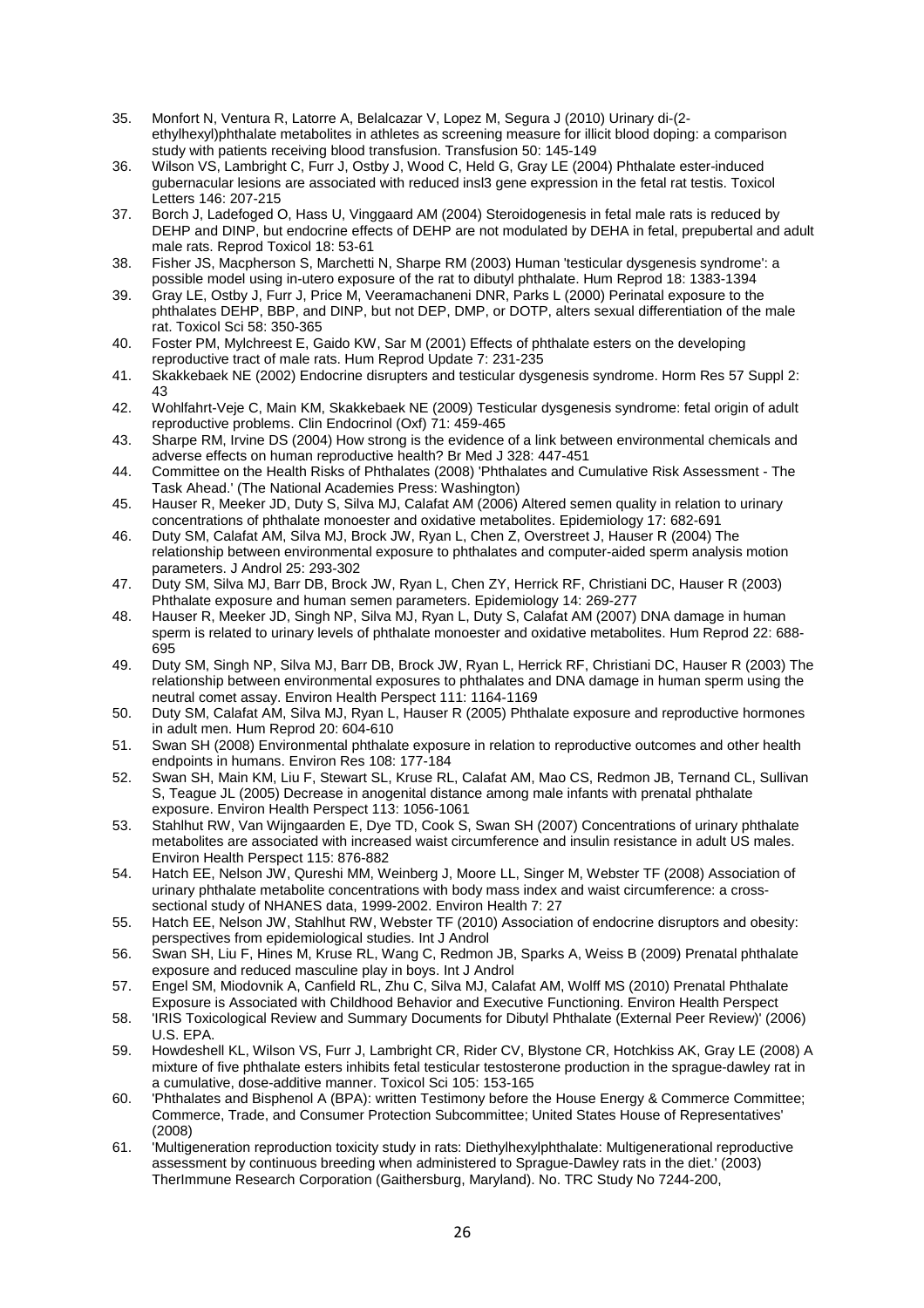- 35. Monfort N, Ventura R, Latorre A, Belalcazar V, Lopez M, Segura J (2010) Urinary di-(2 ethylhexyl)phthalate metabolites in athletes as screening measure for illicit blood doping: a comparison study with patients receiving blood transfusion. Transfusion 50: 145-149
- 36. Wilson VS, Lambright C, Furr J, Ostby J, Wood C, Held G, Gray LE (2004) Phthalate ester-induced gubernacular lesions are associated with reduced insl3 gene expression in the fetal rat testis. Toxicol Letters 146: 207-215
- 37. Borch J, Ladefoged O, Hass U, Vinggaard AM (2004) Steroidogenesis in fetal male rats is reduced by DEHP and DINP, but endocrine effects of DEHP are not modulated by DEHA in fetal, prepubertal and adult male rats. Reprod Toxicol 18: 53-61
- 38. Fisher JS, Macpherson S, Marchetti N, Sharpe RM (2003) Human 'testicular dysgenesis syndrome': a possible model using in-utero exposure of the rat to dibutyl phthalate. Hum Reprod 18: 1383-1394
- 39. Gray LE, Ostby J, Furr J, Price M, Veeramachaneni DNR, Parks L (2000) Perinatal exposure to the phthalates DEHP, BBP, and DINP, but not DEP, DMP, or DOTP, alters sexual differentiation of the male rat. Toxicol Sci 58: 350-365
- 40. Foster PM, Mylchreest E, Gaido KW, Sar M (2001) Effects of phthalate esters on the developing reproductive tract of male rats. Hum Reprod Update 7: 231-235
- 41. Skakkebaek NE (2002) Endocrine disrupters and testicular dysgenesis syndrome. Horm Res 57 Suppl 2: 43
- 42. Wohlfahrt-Veje C, Main KM, Skakkebaek NE (2009) Testicular dysgenesis syndrome: fetal origin of adult reproductive problems. Clin Endocrinol (Oxf) 71: 459-465
- 43. Sharpe RM, Irvine DS (2004) How strong is the evidence of a link between environmental chemicals and adverse effects on human reproductive health? Br Med J 328: 447-451
- 44. Committee on the Health Risks of Phthalates (2008) 'Phthalates and Cumulative Risk Assessment The Task Ahead.' (The National Academies Press: Washington)
- 45. Hauser R, Meeker JD, Duty S, Silva MJ, Calafat AM (2006) Altered semen quality in relation to urinary concentrations of phthalate monoester and oxidative metabolites. Epidemiology 17: 682-691
- 46. Duty SM, Calafat AM, Silva MJ, Brock JW, Ryan L, Chen Z, Overstreet J, Hauser R (2004) The relationship between environmental exposure to phthalates and computer-aided sperm analysis motion parameters. J Androl 25: 293-302
- 47. Duty SM, Silva MJ, Barr DB, Brock JW, Ryan L, Chen ZY, Herrick RF, Christiani DC, Hauser R (2003) Phthalate exposure and human semen parameters. Epidemiology 14: 269-277
- 48. Hauser R, Meeker JD, Singh NP, Silva MJ, Ryan L, Duty S, Calafat AM (2007) DNA damage in human sperm is related to urinary levels of phthalate monoester and oxidative metabolites. Hum Reprod 22: 688- 695
- 49. Duty SM, Singh NP, Silva MJ, Barr DB, Brock JW, Ryan L, Herrick RF, Christiani DC, Hauser R (2003) The relationship between environmental exposures to phthalates and DNA damage in human sperm using the neutral comet assay. Environ Health Perspect 111: 1164-1169
- 50. Duty SM, Calafat AM, Silva MJ, Ryan L, Hauser R (2005) Phthalate exposure and reproductive hormones in adult men. Hum Reprod 20: 604-610
- 51. Swan SH (2008) Environmental phthalate exposure in relation to reproductive outcomes and other health endpoints in humans. Environ Res 108: 177-184
- 52. Swan SH, Main KM, Liu F, Stewart SL, Kruse RL, Calafat AM, Mao CS, Redmon JB, Ternand CL, Sullivan S, Teague JL (2005) Decrease in anogenital distance among male infants with prenatal phthalate exposure. Environ Health Perspect 113: 1056-1061
- 53. Stahlhut RW, Van Wijngaarden E, Dye TD, Cook S, Swan SH (2007) Concentrations of urinary phthalate metabolites are associated with increased waist circumference and insulin resistance in adult US males. Environ Health Perspect 115: 876-882
- 54. Hatch EE, Nelson JW, Qureshi MM, Weinberg J, Moore LL, Singer M, Webster TF (2008) Association of urinary phthalate metabolite concentrations with body mass index and waist circumference: a crosssectional study of NHANES data, 1999-2002. Environ Health 7: 27
- 55. Hatch EE, Nelson JW, Stahlhut RW, Webster TF (2010) Association of endocrine disruptors and obesity: perspectives from epidemiological studies. Int J Androl
- 56. Swan SH, Liu F, Hines M, Kruse RL, Wang C, Redmon JB, Sparks A, Weiss B (2009) Prenatal phthalate exposure and reduced masculine play in boys. Int J Androl
- 57. Engel SM, Miodovnik A, Canfield RL, Zhu C, Silva MJ, Calafat AM, Wolff MS (2010) Prenatal Phthalate Exposure is Associated with Childhood Behavior and Executive Functioning. Environ Health Perspect
- 58. 'IRIS Toxicological Review and Summary Documents for Dibutyl Phthalate (External Peer Review)' (2006) U.S. EPA.
- 59. Howdeshell KL, Wilson VS, Furr J, Lambright CR, Rider CV, Blystone CR, Hotchkiss AK, Gray LE (2008) A mixture of five phthalate esters inhibits fetal testicular testosterone production in the sprague-dawley rat in a cumulative, dose-additive manner. Toxicol Sci 105: 153-165
- 60. 'Phthalates and Bisphenol A (BPA): written Testimony before the House Energy & Commerce Committee; Commerce, Trade, and Consumer Protection Subcommittee; United States House of Representatives' (2008)
- 61. 'Multigeneration reproduction toxicity study in rats: Diethylhexylphthalate: Multigenerational reproductive assessment by continuous breeding when administered to Sprague-Dawley rats in the diet.' (2003) TherImmune Research Corporation (Gaithersburg, Maryland). No. TRC Study No 7244-200,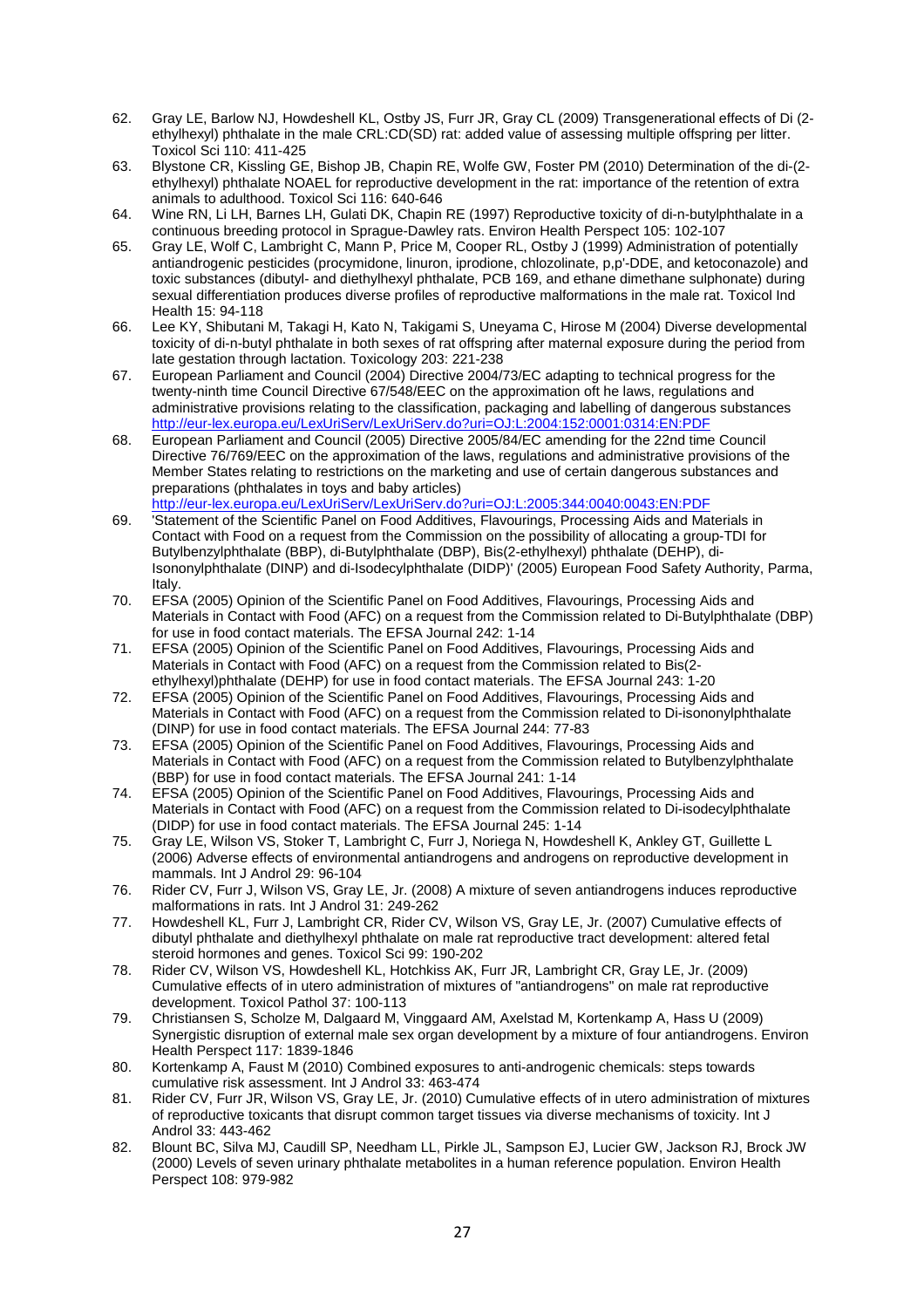- 62. Gray LE, Barlow NJ, Howdeshell KL, Ostby JS, Furr JR, Gray CL (2009) Transgenerational effects of Di (2 ethylhexyl) phthalate in the male CRL:CD(SD) rat: added value of assessing multiple offspring per litter. Toxicol Sci 110: 411-425
- 63. Blystone CR, Kissling GE, Bishop JB, Chapin RE, Wolfe GW, Foster PM (2010) Determination of the di-(2 ethylhexyl) phthalate NOAEL for reproductive development in the rat: importance of the retention of extra animals to adulthood. Toxicol Sci 116: 640-646
- 64. Wine RN, Li LH, Barnes LH, Gulati DK, Chapin RE (1997) Reproductive toxicity of di-n-butylphthalate in a continuous breeding protocol in Sprague-Dawley rats. Environ Health Perspect 105: 102-107
- 65. Gray LE, Wolf C, Lambright C, Mann P, Price M, Cooper RL, Ostby J (1999) Administration of potentially antiandrogenic pesticides (procymidone, linuron, iprodione, chlozolinate, p,p'-DDE, and ketoconazole) and toxic substances (dibutyl- and diethylhexyl phthalate, PCB 169, and ethane dimethane sulphonate) during sexual differentiation produces diverse profiles of reproductive malformations in the male rat. Toxicol Ind Health 15: 94-118
- 66. Lee KY, Shibutani M, Takagi H, Kato N, Takigami S, Uneyama C, Hirose M (2004) Diverse developmental toxicity of di-n-butyl phthalate in both sexes of rat offspring after maternal exposure during the period from late gestation through lactation. Toxicology 203: 221-238
- 67. European Parliament and Council (2004) Directive 2004/73/EC adapting to technical progress for the twenty-ninth time Council Directive 67/548/EEC on the approximation oft he laws, regulations and administrative provisions relating to the classification, packaging and labelling of dangerous substances http://eur-lex.europa.eu/LexUriServ/LexUriServ.do?uri=OJ:L:2004:152:0001:0314:EN:PDF
- 68. European Parliament and Council (2005) Directive 2005/84/EC amending for the 22nd time Council Directive 76/769/EEC on the approximation of the laws, regulations and administrative provisions of the Member States relating to restrictions on the marketing and use of certain dangerous substances and preparations (phthalates in toys and baby articles) http://eur-lex.europa.eu/LexUriServ/LexUriServ.do?uri=OJ:L:2005:344:0040:0043:EN:PDF
- 69. 'Statement of the Scientific Panel on Food Additives, Flavourings, Processing Aids and Materials in Contact with Food on a request from the Commission on the possibility of allocating a group-TDI for Butylbenzylphthalate (BBP), di-Butylphthalate (DBP), Bis(2-ethylhexyl) phthalate (DEHP), di-Isononylphthalate (DINP) and di-Isodecylphthalate (DIDP)' (2005) European Food Safety Authority, Parma, Italy.
- 70. EFSA (2005) Opinion of the Scientific Panel on Food Additives, Flavourings, Processing Aids and Materials in Contact with Food (AFC) on a request from the Commission related to Di-Butylphthalate (DBP) for use in food contact materials. The EFSA Journal 242: 1-14
- 71. EFSA (2005) Opinion of the Scientific Panel on Food Additives, Flavourings, Processing Aids and Materials in Contact with Food (AFC) on a request from the Commission related to Bis(2 ethylhexyl)phthalate (DEHP) for use in food contact materials. The EFSA Journal 243: 1-20
- 72. EFSA (2005) Opinion of the Scientific Panel on Food Additives, Flavourings, Processing Aids and Materials in Contact with Food (AFC) on a request from the Commission related to Di-isononylphthalate (DINP) for use in food contact materials. The EFSA Journal 244: 77-83
- 73. EFSA (2005) Opinion of the Scientific Panel on Food Additives, Flavourings, Processing Aids and Materials in Contact with Food (AFC) on a request from the Commission related to Butylbenzylphthalate (BBP) for use in food contact materials. The EFSA Journal 241: 1-14
- 74. EFSA (2005) Opinion of the Scientific Panel on Food Additives, Flavourings, Processing Aids and Materials in Contact with Food (AFC) on a request from the Commission related to Di-isodecylphthalate (DIDP) for use in food contact materials. The EFSA Journal 245: 1-14
- 75. Gray LE, Wilson VS, Stoker T, Lambright C, Furr J, Noriega N, Howdeshell K, Ankley GT, Guillette L (2006) Adverse effects of environmental antiandrogens and androgens on reproductive development in mammals. Int J Androl 29: 96-104
- 76. Rider CV, Furr J, Wilson VS, Gray LE, Jr. (2008) A mixture of seven antiandrogens induces reproductive malformations in rats. Int J Androl 31: 249-262
- 77. Howdeshell KL, Furr J, Lambright CR, Rider CV, Wilson VS, Gray LE, Jr. (2007) Cumulative effects of dibutyl phthalate and diethylhexyl phthalate on male rat reproductive tract development: altered fetal steroid hormones and genes. Toxicol Sci 99: 190-202
- 78. Rider CV, Wilson VS, Howdeshell KL, Hotchkiss AK, Furr JR, Lambright CR, Gray LE, Jr. (2009) Cumulative effects of in utero administration of mixtures of "antiandrogens" on male rat reproductive development. Toxicol Pathol 37: 100-113
- 79. Christiansen S, Scholze M, Dalgaard M, Vinggaard AM, Axelstad M, Kortenkamp A, Hass U (2009) Synergistic disruption of external male sex organ development by a mixture of four antiandrogens. Environ Health Perspect 117: 1839-1846
- 80. Kortenkamp A, Faust M (2010) Combined exposures to anti-androgenic chemicals: steps towards cumulative risk assessment. Int J Androl 33: 463-474
- 81. Rider CV, Furr JR, Wilson VS, Gray LE, Jr. (2010) Cumulative effects of in utero administration of mixtures of reproductive toxicants that disrupt common target tissues via diverse mechanisms of toxicity. Int J Androl 33: 443-462
- 82. Blount BC, Silva MJ, Caudill SP, Needham LL, Pirkle JL, Sampson EJ, Lucier GW, Jackson RJ, Brock JW (2000) Levels of seven urinary phthalate metabolites in a human reference population. Environ Health Perspect 108: 979-982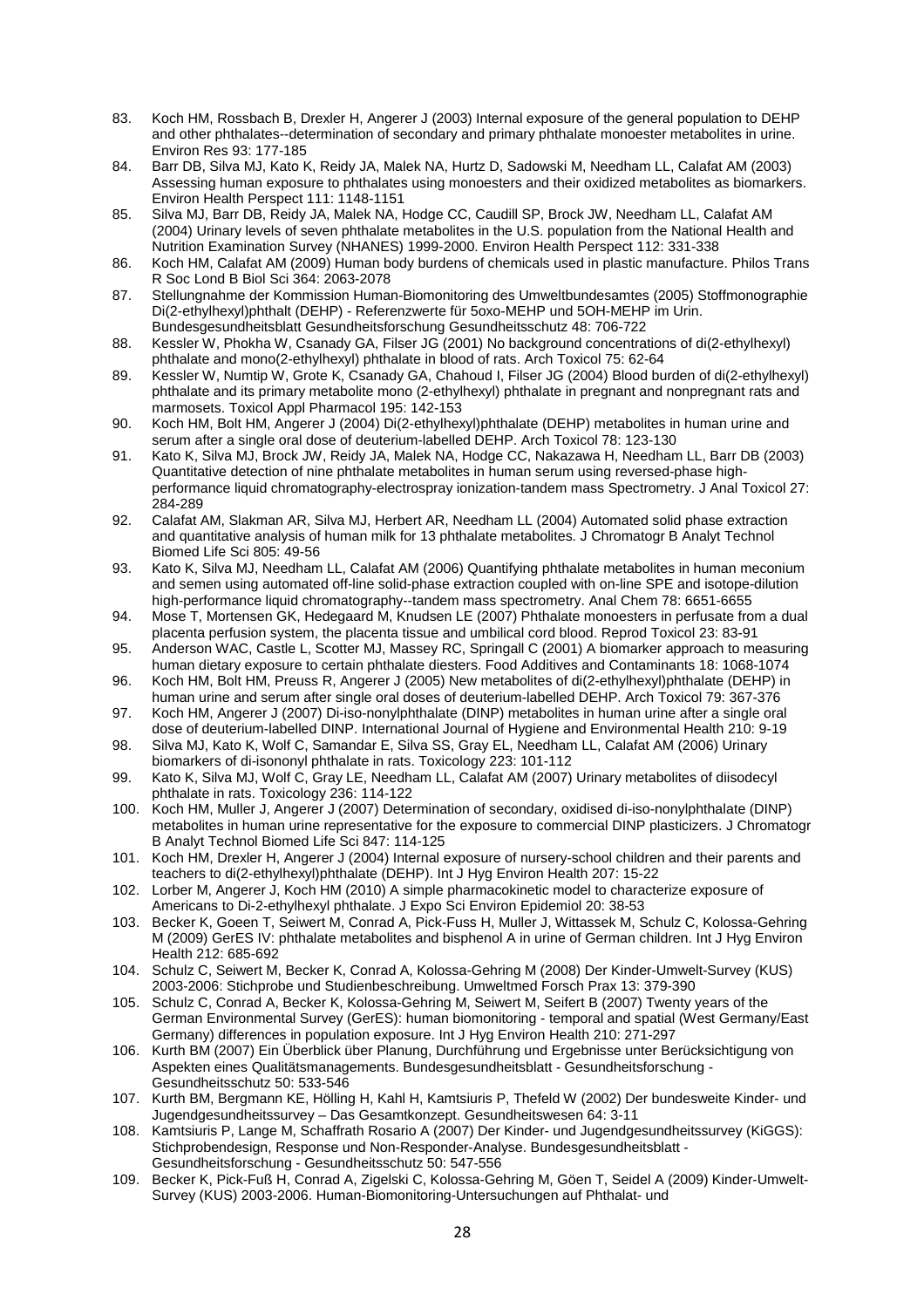- 83. Koch HM, Rossbach B, Drexler H, Angerer J (2003) Internal exposure of the general population to DEHP and other phthalates--determination of secondary and primary phthalate monoester metabolites in urine. Environ Res 93: 177-185
- 84. Barr DB, Silva MJ, Kato K, Reidy JA, Malek NA, Hurtz D, Sadowski M, Needham LL, Calafat AM (2003) Assessing human exposure to phthalates using monoesters and their oxidized metabolites as biomarkers. Environ Health Perspect 111: 1148-1151
- 85. Silva MJ, Barr DB, Reidy JA, Malek NA, Hodge CC, Caudill SP, Brock JW, Needham LL, Calafat AM (2004) Urinary levels of seven phthalate metabolites in the U.S. population from the National Health and Nutrition Examination Survey (NHANES) 1999-2000. Environ Health Perspect 112: 331-338
- 86. Koch HM, Calafat AM (2009) Human body burdens of chemicals used in plastic manufacture. Philos Trans R Soc Lond B Biol Sci 364: 2063-2078
- 87. Stellungnahme der Kommission Human-Biomonitoring des Umweltbundesamtes (2005) Stoffmonographie Di(2-ethylhexyl)phthalt (DEHP) - Referenzwerte für 5oxo-MEHP und 5OH-MEHP im Urin. Bundesgesundheitsblatt Gesundheitsforschung Gesundheitsschutz 48: 706-722
- 88. Kessler W, Phokha W, Csanady GA, Filser JG (2001) No background concentrations of di(2-ethylhexyl) phthalate and mono(2-ethylhexyl) phthalate in blood of rats. Arch Toxicol 75: 62-64
- 89. Kessler W, Numtip W, Grote K, Csanady GA, Chahoud I, Filser JG (2004) Blood burden of di(2-ethylhexyl) phthalate and its primary metabolite mono (2-ethylhexyl) phthalate in pregnant and nonpregnant rats and marmosets. Toxicol Appl Pharmacol 195: 142-153
- 90. Koch HM, Bolt HM, Angerer J (2004) Di(2-ethylhexyl)phthalate (DEHP) metabolites in human urine and serum after a single oral dose of deuterium-labelled DEHP. Arch Toxicol 78: 123-130
- 91. Kato K, Silva MJ, Brock JW, Reidy JA, Malek NA, Hodge CC, Nakazawa H, Needham LL, Barr DB (2003) Quantitative detection of nine phthalate metabolites in human serum using reversed-phase highperformance liquid chromatography-electrospray ionization-tandem mass Spectrometry. J Anal Toxicol 27: 284-289
- 92. Calafat AM, Slakman AR, Silva MJ, Herbert AR, Needham LL (2004) Automated solid phase extraction and quantitative analysis of human milk for 13 phthalate metabolites. J Chromatogr B Analyt Technol Biomed Life Sci 805: 49-56
- 93. Kato K, Silva MJ, Needham LL, Calafat AM (2006) Quantifying phthalate metabolites in human meconium and semen using automated off-line solid-phase extraction coupled with on-line SPE and isotope-dilution high-performance liquid chromatography--tandem mass spectrometry. Anal Chem 78: 6651-6655
- 94. Mose T, Mortensen GK, Hedegaard M, Knudsen LE (2007) Phthalate monoesters in perfusate from a dual placenta perfusion system, the placenta tissue and umbilical cord blood. Reprod Toxicol 23: 83-91
- 95. Anderson WAC, Castle L, Scotter MJ, Massey RC, Springall C (2001) A biomarker approach to measuring human dietary exposure to certain phthalate diesters. Food Additives and Contaminants 18: 1068-1074
- 96. Koch HM, Bolt HM, Preuss R, Angerer J (2005) New metabolites of di(2-ethylhexyl)phthalate (DEHP) in human urine and serum after single oral doses of deuterium-labelled DEHP. Arch Toxicol 79: 367-376
- 97. Koch HM, Angerer J (2007) Di-iso-nonylphthalate (DINP) metabolites in human urine after a single oral dose of deuterium-labelled DINP. International Journal of Hygiene and Environmental Health 210: 9-19
- 98. Silva MJ, Kato K, Wolf C, Samandar E, Silva SS, Gray EL, Needham LL, Calafat AM (2006) Urinary biomarkers of di-isononyl phthalate in rats. Toxicology 223: 101-112
- 99. Kato K, Silva MJ, Wolf C, Gray LE, Needham LL, Calafat AM (2007) Urinary metabolites of diisodecyl phthalate in rats. Toxicology 236: 114-122
- 100. Koch HM, Muller J, Angerer J (2007) Determination of secondary, oxidised di-iso-nonylphthalate (DINP) metabolites in human urine representative for the exposure to commercial DINP plasticizers. J Chromatogr B Analyt Technol Biomed Life Sci 847: 114-125
- 101. Koch HM, Drexler H, Angerer J (2004) Internal exposure of nursery-school children and their parents and teachers to di(2-ethylhexyl)phthalate (DEHP). Int J Hyg Environ Health 207: 15-22
- 102. Lorber M, Angerer J, Koch HM (2010) A simple pharmacokinetic model to characterize exposure of Americans to Di-2-ethylhexyl phthalate. J Expo Sci Environ Epidemiol 20: 38-53
- 103. Becker K, Goeen T, Seiwert M, Conrad A, Pick-Fuss H, Muller J, Wittassek M, Schulz C, Kolossa-Gehring M (2009) GerES IV: phthalate metabolites and bisphenol A in urine of German children. Int J Hyg Environ Health 212: 685-692
- 104. Schulz C, Seiwert M, Becker K, Conrad A, Kolossa-Gehring M (2008) Der Kinder-Umwelt-Survey (KUS) 2003-2006: Stichprobe und Studienbeschreibung. Umweltmed Forsch Prax 13: 379-390
- 105. Schulz C, Conrad A, Becker K, Kolossa-Gehring M, Seiwert M, Seifert B (2007) Twenty years of the German Environmental Survey (GerES): human biomonitoring - temporal and spatial (West Germany/East Germany) differences in population exposure. Int J Hyg Environ Health 210: 271-297
- 106. Kurth BM (2007) Ein Überblick über Planung, Durchführung und Ergebnisse unter Berücksichtigung von Aspekten eines Qualitätsmanagements. Bundesgesundheitsblatt - Gesundheitsforschung - Gesundheitsschutz 50: 533-546
- 107. Kurth BM, Bergmann KE, Hölling H, Kahl H, Kamtsiuris P, Thefeld W (2002) Der bundesweite Kinder- und Jugendgesundheitssurvey – Das Gesamtkonzept. Gesundheitswesen 64: 3-11
- 108. Kamtsiuris P, Lange M, Schaffrath Rosario A (2007) Der Kinder- und Jugendgesundheitssurvey (KiGGS): Stichprobendesign, Response und Non-Responder-Analyse. Bundesgesundheitsblatt - Gesundheitsforschung - Gesundheitsschutz 50: 547-556
- 109. Becker K, Pick-Fuß H, Conrad A, Zigelski C, Kolossa-Gehring M, Göen T, Seidel A (2009) Kinder-Umwelt-Survey (KUS) 2003-2006. Human-Biomonitoring-Untersuchungen auf Phthalat- und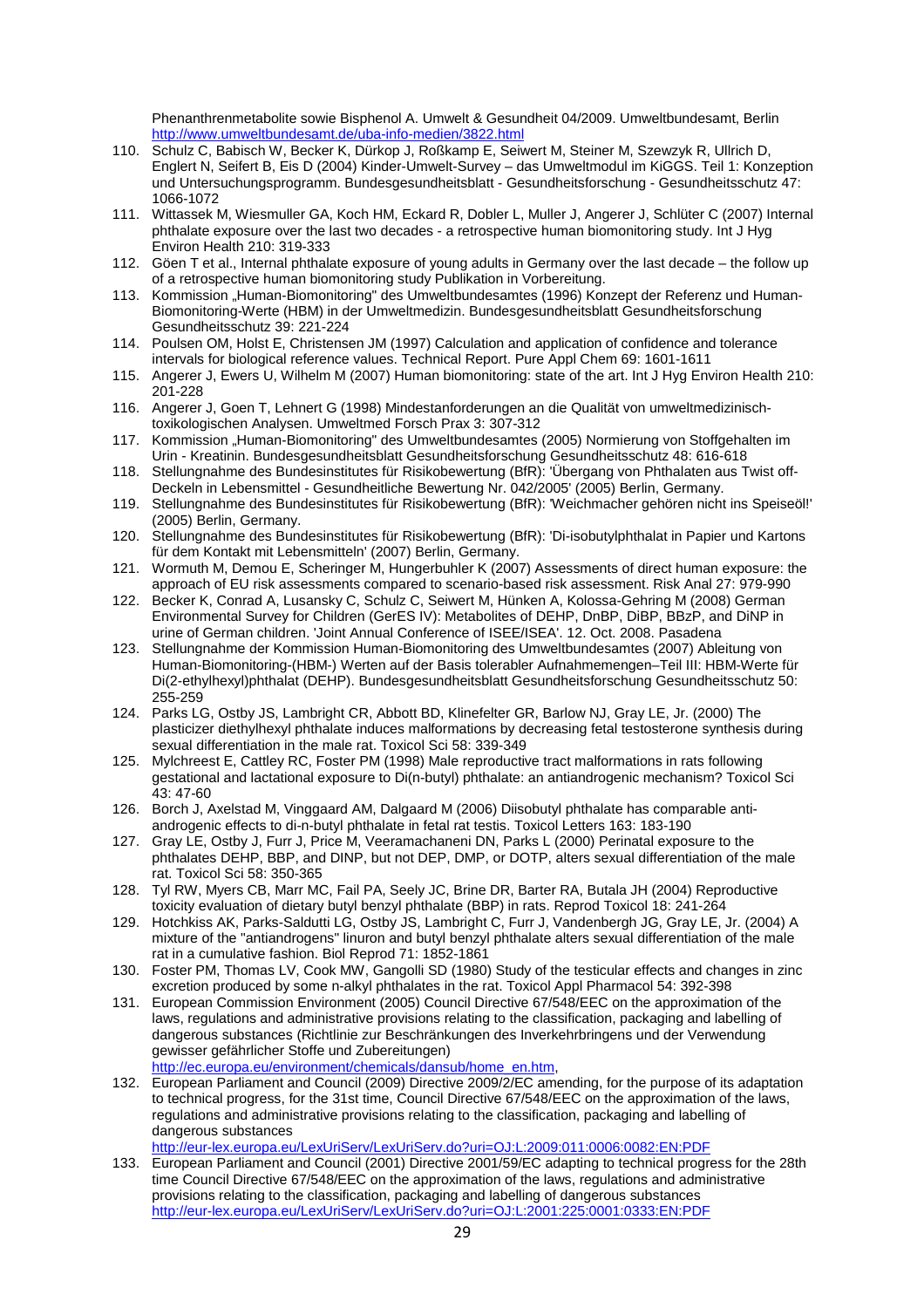Phenanthrenmetabolite sowie Bisphenol A. Umwelt & Gesundheit 04/2009. Umweltbundesamt, Berlin http://www.umweltbundesamt.de/uba-info-medien/3822.html

- 110. Schulz C, Babisch W, Becker K, Dürkop J, Roßkamp E, Seiwert M, Steiner M, Szewzyk R, Ullrich D, Englert N, Seifert B, Eis D (2004) Kinder-Umwelt-Survey – das Umweltmodul im KiGGS. Teil 1: Konzeption und Untersuchungsprogramm. Bundesgesundheitsblatt - Gesundheitsforschung - Gesundheitsschutz 47: 1066-1072
- 111. Wittassek M, Wiesmuller GA, Koch HM, Eckard R, Dobler L, Muller J, Angerer J, Schlüter C (2007) Internal phthalate exposure over the last two decades - a retrospective human biomonitoring study. Int J Hyg Environ Health 210: 319-333
- 112. Göen T et al., Internal phthalate exposure of young adults in Germany over the last decade the follow up of a retrospective human biomonitoring study Publikation in Vorbereitung.
- 113. Kommission "Human-Biomonitoring" des Umweltbundesamtes (1996) Konzept der Referenz und Human-Biomonitoring-Werte (HBM) in der Umweltmedizin. Bundesgesundheitsblatt Gesundheitsforschung Gesundheitsschutz 39: 221-224
- 114. Poulsen OM, Holst E, Christensen JM (1997) Calculation and application of confidence and tolerance intervals for biological reference values. Technical Report. Pure Appl Chem 69: 1601-1611
- 115. Angerer J, Ewers U, Wilhelm M (2007) Human biomonitoring: state of the art. Int J Hyg Environ Health 210: 201-228
- 116. Angerer J, Goen T, Lehnert G (1998) Mindestanforderungen an die Qualität von umweltmedizinischtoxikologischen Analysen. Umweltmed Forsch Prax 3: 307-312
- 117. Kommission "Human-Biomonitoring" des Umweltbundesamtes (2005) Normierung von Stoffgehalten im Urin - Kreatinin. Bundesgesundheitsblatt Gesundheitsforschung Gesundheitsschutz 48: 616-618
- 118. Stellungnahme des Bundesinstitutes für Risikobewertung (BfR): 'Übergang von Phthalaten aus Twist off-Deckeln in Lebensmittel - Gesundheitliche Bewertung Nr. 042/2005' (2005) Berlin, Germany.
- 119. Stellungnahme des Bundesinstitutes für Risikobewertung (BfR): 'Weichmacher gehören nicht ins Speiseöl!' (2005) Berlin, Germany.
- 120. Stellungnahme des Bundesinstitutes für Risikobewertung (BfR): 'Di-isobutylphthalat in Papier und Kartons für dem Kontakt mit Lebensmitteln' (2007) Berlin, Germany.
- 121. Wormuth M, Demou E, Scheringer M, Hungerbuhler K (2007) Assessments of direct human exposure: the approach of EU risk assessments compared to scenario-based risk assessment. Risk Anal 27: 979-990
- 122. Becker K, Conrad A, Lusansky C, Schulz C, Seiwert M, Hünken A, Kolossa-Gehring M (2008) German Environmental Survey for Children (GerES IV): Metabolites of DEHP, DnBP, DiBP, BBzP, and DiNP in urine of German children. 'Joint Annual Conference of ISEE/ISEA'. 12. Oct. 2008. Pasadena
- 123. Stellungnahme der Kommission Human-Biomonitoring des Umweltbundesamtes (2007) Ableitung von Human-Biomonitoring-(HBM-) Werten auf der Basis tolerabler Aufnahmemengen–Teil III: HBM-Werte für Di(2-ethylhexyl)phthalat (DEHP). Bundesgesundheitsblatt Gesundheitsforschung Gesundheitsschutz 50: 255-259
- 124. Parks LG, Ostby JS, Lambright CR, Abbott BD, Klinefelter GR, Barlow NJ, Gray LE, Jr. (2000) The plasticizer diethylhexyl phthalate induces malformations by decreasing fetal testosterone synthesis during sexual differentiation in the male rat. Toxicol Sci 58: 339-349
- 125. Mylchreest E, Cattley RC, Foster PM (1998) Male reproductive tract malformations in rats following gestational and lactational exposure to Di(n-butyl) phthalate: an antiandrogenic mechanism? Toxicol Sci 43: 47-60
- 126. Borch J, Axelstad M, Vinggaard AM, Dalgaard M (2006) Diisobutyl phthalate has comparable antiandrogenic effects to di-n-butyl phthalate in fetal rat testis. Toxicol Letters 163: 183-190
- 127. Gray LE, Ostby J, Furr J, Price M, Veeramachaneni DN, Parks L (2000) Perinatal exposure to the phthalates DEHP, BBP, and DINP, but not DEP, DMP, or DOTP, alters sexual differentiation of the male rat. Toxicol Sci 58: 350-365
- 128. Tyl RW, Myers CB, Marr MC, Fail PA, Seely JC, Brine DR, Barter RA, Butala JH (2004) Reproductive toxicity evaluation of dietary butyl benzyl phthalate (BBP) in rats. Reprod Toxicol 18: 241-264
- 129. Hotchkiss AK, Parks-Saldutti LG, Ostby JS, Lambright C, Furr J, Vandenbergh JG, Gray LE, Jr. (2004) A mixture of the "antiandrogens" linuron and butyl benzyl phthalate alters sexual differentiation of the male rat in a cumulative fashion. Biol Reprod 71: 1852-1861
- 130. Foster PM, Thomas LV, Cook MW, Gangolli SD (1980) Study of the testicular effects and changes in zinc excretion produced by some n-alkyl phthalates in the rat. Toxicol Appl Pharmacol 54: 392-398
- 131. European Commission Environment (2005) Council Directive 67/548/EEC on the approximation of the laws, regulations and administrative provisions relating to the classification, packaging and labelling of dangerous substances (Richtlinie zur Beschränkungen des Inverkehrbringens und der Verwendung gewisser gefährlicher Stoffe und Zubereitungen) http://ec.europa.eu/environment/chemicals/dansub/home\_en.htm,
- 132. European Parliament and Council (2009) Directive 2009/2/EC amending, for the purpose of its adaptation to technical progress, for the 31st time, Council Directive 67/548/EEC on the approximation of the laws, regulations and administrative provisions relating to the classification, packaging and labelling of dangerous substances

http://eur-lex.europa.eu/LexUriServ/LexUriServ.do?uri=OJ:L:2009:011:0006:0082:EN:PDF

133. European Parliament and Council (2001) Directive 2001/59/EC adapting to technical progress for the 28th time Council Directive 67/548/EEC on the approximation of the laws, regulations and administrative provisions relating to the classification, packaging and labelling of dangerous substances http://eur-lex.europa.eu/LexUriServ/LexUriServ.do?uri=OJ:L:2001:225:0001:0333:EN:PDF